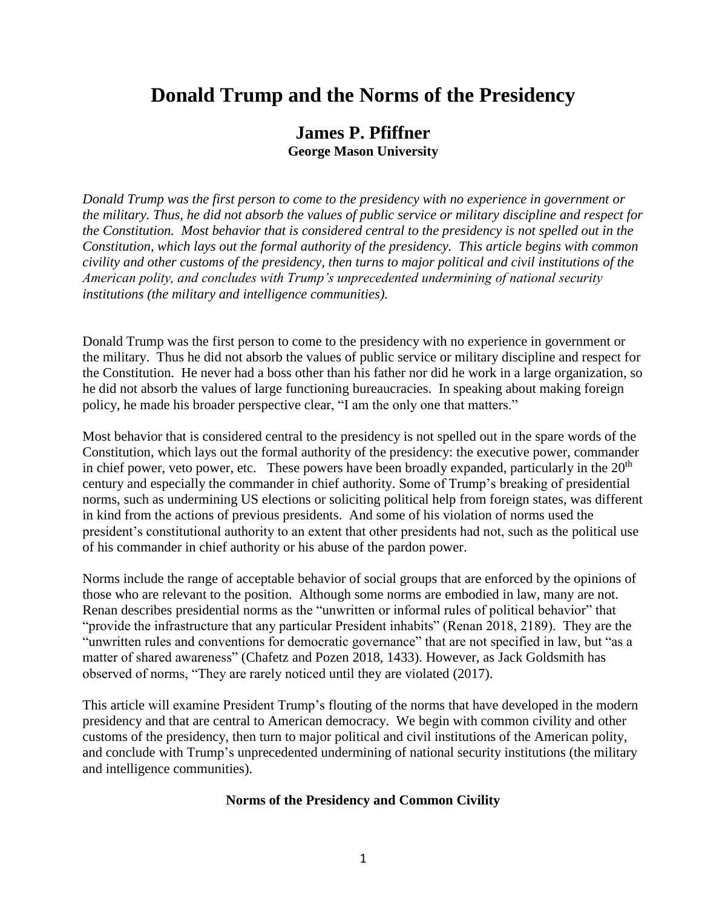# **Donald Trump and the Norms of the Presidency**

# **James P. Pfiffner George Mason University**

*Donald Trump was the first person to come to the presidency with no experience in government or the military. Thus, he did not absorb the values of public service or military discipline and respect for the Constitution. Most behavior that is considered central to the presidency is not spelled out in the Constitution, which lays out the formal authority of the presidency. This article begins with common civility and other customs of the presidency, then turns to major political and civil institutions of the American polity, and concludes with Trump's unprecedented undermining of national security institutions (the military and intelligence communities).*

Donald Trump was the first person to come to the presidency with no experience in government or the military. Thus he did not absorb the values of public service or military discipline and respect for the Constitution. He never had a boss other than his father nor did he work in a large organization, so he did not absorb the values of large functioning bureaucracies. In speaking about making foreign policy, he made his broader perspective clear, "I am the only one that matters."

Most behavior that is considered central to the presidency is not spelled out in the spare words of the Constitution, which lays out the formal authority of the presidency: the executive power, commander in chief power, veto power, etc. These powers have been broadly expanded, particularly in the  $20<sup>th</sup>$ century and especially the commander in chief authority. Some of Trump's breaking of presidential norms, such as undermining US elections or soliciting political help from foreign states, was different in kind from the actions of previous presidents. And some of his violation of norms used the president's constitutional authority to an extent that other presidents had not, such as the political use of his commander in chief authority or his abuse of the pardon power.

Norms include the range of acceptable behavior of social groups that are enforced by the opinions of those who are relevant to the position. Although some norms are embodied in law, many are not. Renan describes presidential norms as the "unwritten or informal rules of political behavior" that "provide the infrastructure that any particular President inhabits" (Renan 2018, 2189). They are the "unwritten rules and conventions for democratic governance" that are not specified in law, but "as a matter of shared awareness" (Chafetz and Pozen 2018, 1433). However, as Jack Goldsmith has observed of norms, "They are rarely noticed until they are violated (2017).

This article will examine President Trump's flouting of the norms that have developed in the modern presidency and that are central to American democracy. We begin with common civility and other customs of the presidency, then turn to major political and civil institutions of the American polity, and conclude with Trump's unprecedented undermining of national security institutions (the military and intelligence communities).

# **Norms of the Presidency and Common Civility**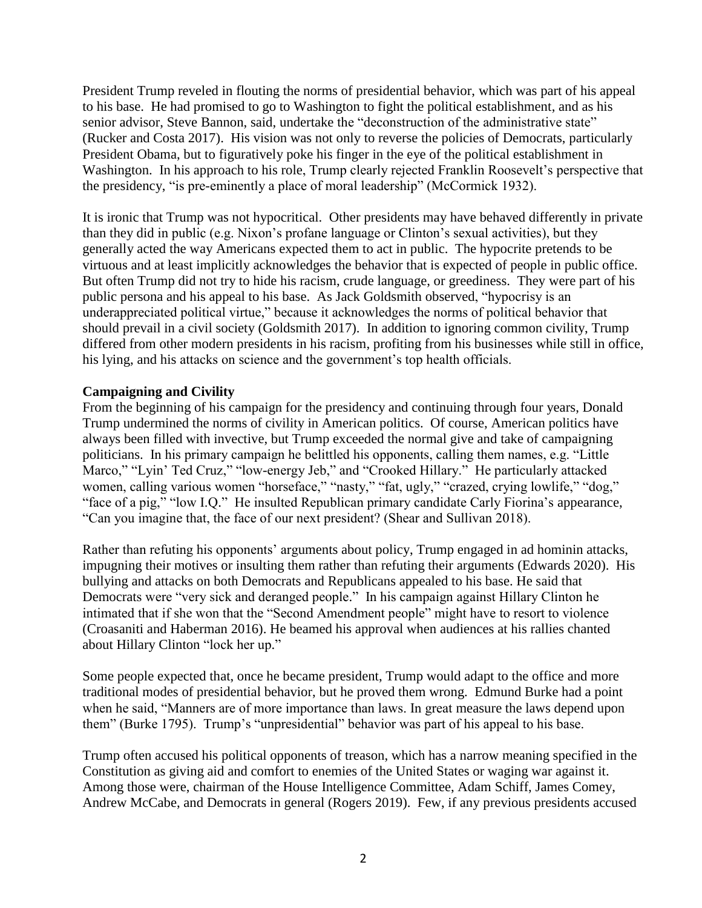President Trump reveled in flouting the norms of presidential behavior, which was part of his appeal to his base. He had promised to go to Washington to fight the political establishment, and as his senior advisor, Steve Bannon, said, undertake the "deconstruction of the administrative state" (Rucker and Costa 2017). His vision was not only to reverse the policies of Democrats, particularly President Obama, but to figuratively poke his finger in the eye of the political establishment in Washington. In his approach to his role, Trump clearly rejected Franklin Roosevelt's perspective that the presidency, "is pre-eminently a place of moral leadership" (McCormick 1932).

It is ironic that Trump was not hypocritical. Other presidents may have behaved differently in private than they did in public (e.g. Nixon's profane language or Clinton's sexual activities), but they generally acted the way Americans expected them to act in public. The hypocrite pretends to be virtuous and at least implicitly acknowledges the behavior that is expected of people in public office. But often Trump did not try to hide his racism, crude language, or greediness. They were part of his public persona and his appeal to his base. As Jack Goldsmith observed, "hypocrisy is an underappreciated political virtue," because it acknowledges the norms of political behavior that should prevail in a civil society (Goldsmith 2017). In addition to ignoring common civility, Trump differed from other modern presidents in his racism, profiting from his businesses while still in office, his lying, and his attacks on science and the government's top health officials.

# **Campaigning and Civility**

From the beginning of his campaign for the presidency and continuing through four years, Donald Trump undermined the norms of civility in American politics. Of course, American politics have always been filled with invective, but Trump exceeded the normal give and take of campaigning politicians. In his primary campaign he belittled his opponents, calling them names, e.g. "Little Marco," "Lyin' Ted Cruz," "low-energy Jeb," and "Crooked Hillary." He particularly attacked women, calling various women "horseface," "nasty," "fat, ugly," "crazed, crying lowlife," "dog," "face of a pig," "low I.Q." He insulted Republican primary candidate Carly Fiorina's appearance, "Can you imagine that, the face of our next president? (Shear and Sullivan 2018).

Rather than refuting his opponents' arguments about policy, Trump engaged in ad hominin attacks, impugning their motives or insulting them rather than refuting their arguments (Edwards 2020). His bullying and attacks on both Democrats and Republicans appealed to his base. He said that Democrats were "very sick and deranged people." In his campaign against Hillary Clinton he intimated that if she won that the "Second Amendment people" might have to resort to violence (Croasaniti and Haberman 2016). He beamed his approval when audiences at his rallies chanted about Hillary Clinton "lock her up."

Some people expected that, once he became president, Trump would adapt to the office and more traditional modes of presidential behavior, but he proved them wrong. Edmund Burke had a point when he said, "Manners are of more importance than laws. In great measure the laws depend upon them" (Burke 1795). Trump's "unpresidential" behavior was part of his appeal to his base.

Trump often accused his political opponents of treason, which has a narrow meaning specified in the Constitution as giving aid and comfort to enemies of the United States or waging war against it. Among those were, chairman of the House Intelligence Committee, Adam Schiff, James Comey, Andrew McCabe, and Democrats in general (Rogers 2019). Few, if any previous presidents accused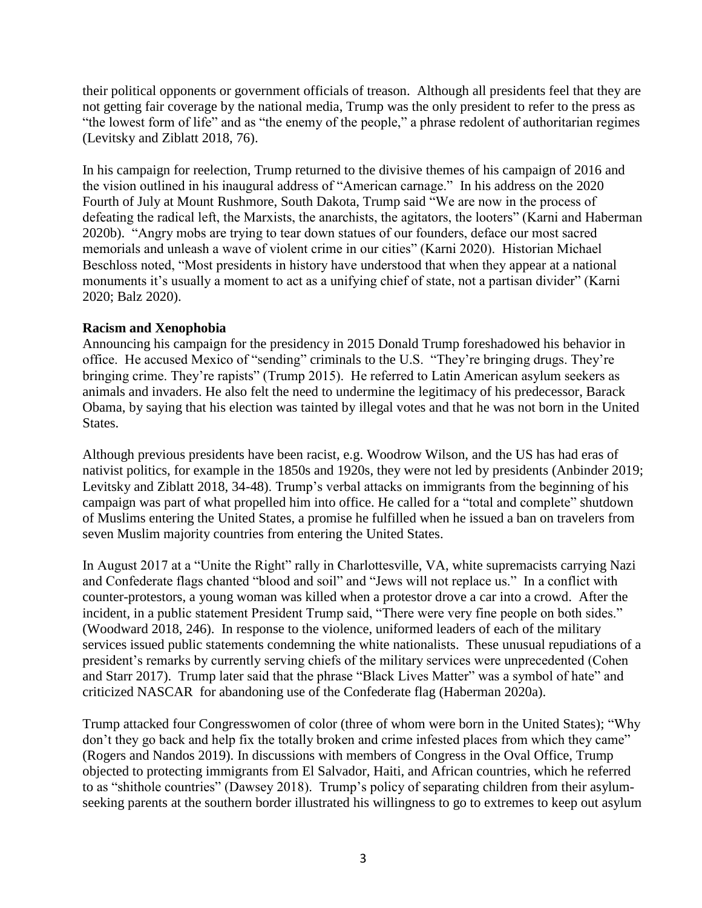their political opponents or government officials of treason. Although all presidents feel that they are not getting fair coverage by the national media, Trump was the only president to refer to the press as "the lowest form of life" and as "the enemy of the people," a phrase redolent of authoritarian regimes (Levitsky and Ziblatt 2018, 76).

In his campaign for reelection, Trump returned to the divisive themes of his campaign of 2016 and the vision outlined in his inaugural address of "American carnage." In his address on the 2020 Fourth of July at Mount Rushmore, South Dakota, Trump said "We are now in the process of defeating the radical left, the Marxists, the anarchists, the agitators, the looters" (Karni and Haberman 2020b). "Angry mobs are trying to tear down statues of our founders, deface our most sacred memorials and unleash a wave of violent crime in our cities" (Karni 2020). Historian Michael Beschloss noted, "Most presidents in history have understood that when they appear at a national monuments it's usually a moment to act as a unifying chief of state, not a partisan divider" (Karni 2020; Balz 2020).

#### **Racism and Xenophobia**

Announcing his campaign for the presidency in 2015 Donald Trump foreshadowed his behavior in office. He accused Mexico of "sending" criminals to the U.S. "They're bringing drugs. They're bringing crime. They're rapists" (Trump 2015). He referred to Latin American asylum seekers as animals and invaders. He also felt the need to undermine the legitimacy of his predecessor, Barack Obama, by saying that his election was tainted by illegal votes and that he was not born in the United States.

Although previous presidents have been racist, e.g. Woodrow Wilson, and the US has had eras of nativist politics, for example in the 1850s and 1920s, they were not led by presidents (Anbinder 2019; Levitsky and Ziblatt 2018, 34-48). Trump's verbal attacks on immigrants from the beginning of his campaign was part of what propelled him into office. He called for a "total and complete" shutdown of Muslims entering the United States, a promise he fulfilled when he issued a ban on travelers from seven Muslim majority countries from entering the United States.

In August 2017 at a "Unite the Right" rally in Charlottesville, VA, white supremacists carrying Nazi and Confederate flags chanted "blood and soil" and "Jews will not replace us." In a conflict with counter-protestors, a young woman was killed when a protestor drove a car into a crowd. After the incident, in a public statement President Trump said, "There were very fine people on both sides." (Woodward 2018, 246). In response to the violence, uniformed leaders of each of the military services issued public statements condemning the white nationalists. These unusual repudiations of a president's remarks by currently serving chiefs of the military services were unprecedented (Cohen and Starr 2017). Trump later said that the phrase "Black Lives Matter" was a symbol of hate" and criticized NASCAR for abandoning use of the Confederate flag (Haberman 2020a).

Trump attacked four Congresswomen of color (three of whom were born in the United States); "Why don't they go back and help fix the totally broken and crime infested places from which they came" (Rogers and Nandos 2019). In discussions with members of Congress in the Oval Office, Trump objected to protecting immigrants from El Salvador, Haiti, and African countries, which he referred to as "shithole countries" (Dawsey 2018). Trump's policy of separating children from their asylumseeking parents at the southern border illustrated his willingness to go to extremes to keep out asylum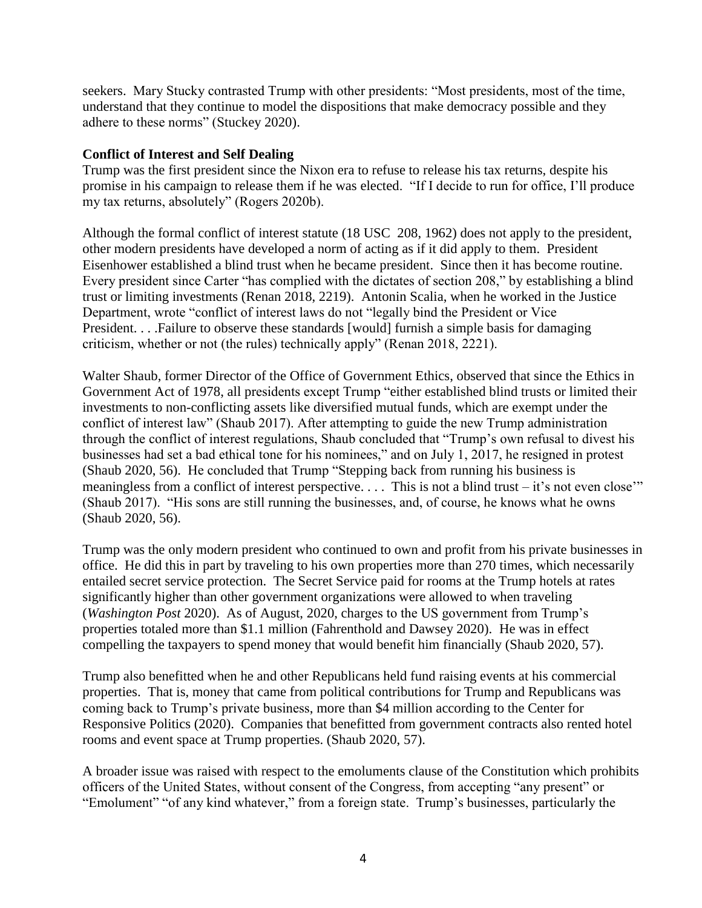seekers. Mary Stucky contrasted Trump with other presidents: "Most presidents, most of the time, understand that they continue to model the dispositions that make democracy possible and they adhere to these norms" (Stuckey 2020).

# **Conflict of Interest and Self Dealing**

Trump was the first president since the Nixon era to refuse to release his tax returns, despite his promise in his campaign to release them if he was elected. "If I decide to run for office, I'll produce my tax returns, absolutely" (Rogers 2020b).

Although the formal conflict of interest statute (18 USC 208, 1962) does not apply to the president, other modern presidents have developed a norm of acting as if it did apply to them. President Eisenhower established a blind trust when he became president. Since then it has become routine. Every president since Carter "has complied with the dictates of section 208," by establishing a blind trust or limiting investments (Renan 2018, 2219). Antonin Scalia, when he worked in the Justice Department, wrote "conflict of interest laws do not "legally bind the President or Vice President. . . .Failure to observe these standards [would] furnish a simple basis for damaging criticism, whether or not (the rules) technically apply" (Renan 2018, 2221).

Walter Shaub, former Director of the Office of Government Ethics, observed that since the Ethics in Government Act of 1978, all presidents except Trump "either established blind trusts or limited their investments to non-conflicting assets like diversified mutual funds, which are exempt under the conflict of interest law" (Shaub 2017). After attempting to guide the new Trump administration through the conflict of interest regulations, Shaub concluded that "Trump's own refusal to divest his businesses had set a bad ethical tone for his nominees," and on July 1, 2017, he resigned in protest (Shaub 2020, 56). He concluded that Trump "Stepping back from running his business is meaningless from a conflict of interest perspective. . . . This is not a blind trust – it's not even close'" (Shaub 2017). "His sons are still running the businesses, and, of course, he knows what he owns (Shaub 2020, 56).

Trump was the only modern president who continued to own and profit from his private businesses in office. He did this in part by traveling to his own properties more than 270 times, which necessarily entailed secret service protection. The Secret Service paid for rooms at the Trump hotels at rates significantly higher than other government organizations were allowed to when traveling (*Washington Post* 2020). As of August, 2020, charges to the US government from Trump's properties totaled more than \$1.1 million (Fahrenthold and Dawsey 2020). He was in effect compelling the taxpayers to spend money that would benefit him financially (Shaub 2020, 57).

Trump also benefitted when he and other Republicans held fund raising events at his commercial properties. That is, money that came from political contributions for Trump and Republicans was coming back to Trump's private business, more than \$4 million according to the Center for Responsive Politics (2020). Companies that benefitted from government contracts also rented hotel rooms and event space at Trump properties. (Shaub 2020, 57).

A broader issue was raised with respect to the emoluments clause of the Constitution which prohibits officers of the United States, without consent of the Congress, from accepting "any present" or "Emolument" "of any kind whatever," from a foreign state. Trump's businesses, particularly the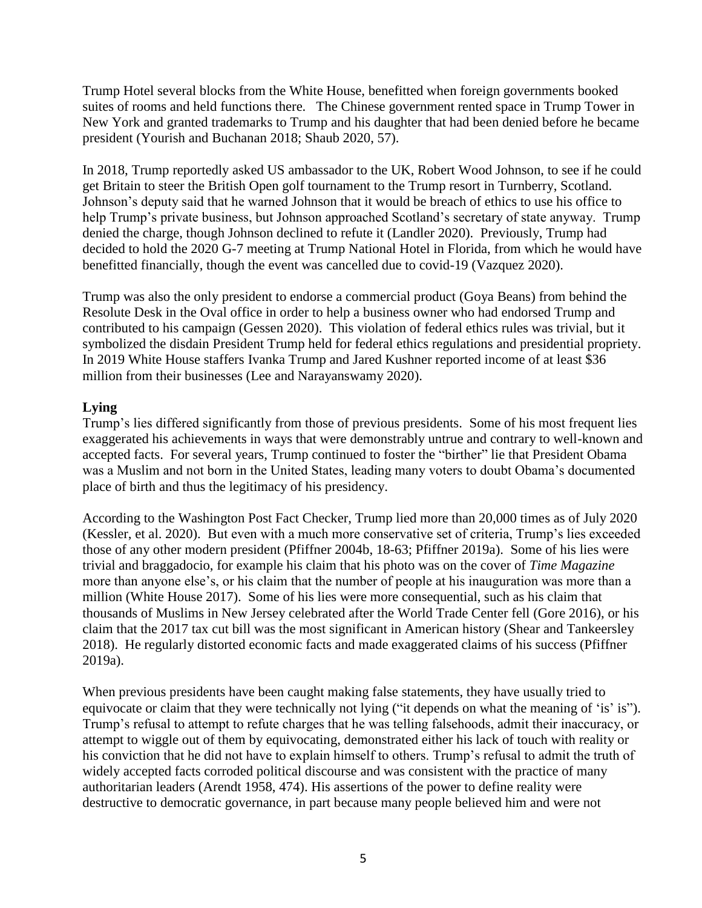Trump Hotel several blocks from the White House, benefitted when foreign governments booked suites of rooms and held functions there. The Chinese government rented space in Trump Tower in New York and granted trademarks to Trump and his daughter that had been denied before he became president (Yourish and Buchanan 2018; Shaub 2020, 57).

In 2018, Trump reportedly asked US ambassador to the UK, Robert Wood Johnson, to see if he could get Britain to steer the British Open golf tournament to the Trump resort in Turnberry, Scotland. Johnson's deputy said that he warned Johnson that it would be breach of ethics to use his office to help Trump's private business, but Johnson approached Scotland's secretary of state anyway. Trump denied the charge, though Johnson declined to refute it (Landler 2020). Previously, Trump had decided to hold the 2020 G-7 meeting at Trump National Hotel in Florida, from which he would have benefitted financially, though the event was cancelled due to covid-19 (Vazquez 2020).

Trump was also the only president to endorse a commercial product (Goya Beans) from behind the Resolute Desk in the Oval office in order to help a business owner who had endorsed Trump and contributed to his campaign (Gessen 2020). This violation of federal ethics rules was trivial, but it symbolized the disdain President Trump held for federal ethics regulations and presidential propriety. In 2019 White House staffers Ivanka Trump and Jared Kushner reported income of at least \$36 million from their businesses (Lee and Narayanswamy 2020).

# **Lying**

Trump's lies differed significantly from those of previous presidents. Some of his most frequent lies exaggerated his achievements in ways that were demonstrably untrue and contrary to well-known and accepted facts. For several years, Trump continued to foster the "birther" lie that President Obama was a Muslim and not born in the United States, leading many voters to doubt Obama's documented place of birth and thus the legitimacy of his presidency.

According to the Washington Post Fact Checker, Trump lied more than 20,000 times as of July 2020 (Kessler, et al. 2020). But even with a much more conservative set of criteria, Trump's lies exceeded those of any other modern president (Pfiffner 2004b, 18-63; Pfiffner 2019a). Some of his lies were trivial and braggadocio, for example his claim that his photo was on the cover of *Time Magazine* more than anyone else's, or his claim that the number of people at his inauguration was more than a million (White House 2017). Some of his lies were more consequential, such as his claim that thousands of Muslims in New Jersey celebrated after the World Trade Center fell (Gore 2016), or his claim that the 2017 tax cut bill was the most significant in American history (Shear and Tankeersley 2018). He regularly distorted economic facts and made exaggerated claims of his success (Pfiffner 2019a).

When previous presidents have been caught making false statements, they have usually tried to equivocate or claim that they were technically not lying ("it depends on what the meaning of 'is' is"). Trump's refusal to attempt to refute charges that he was telling falsehoods, admit their inaccuracy, or attempt to wiggle out of them by equivocating, demonstrated either his lack of touch with reality or his conviction that he did not have to explain himself to others. Trump's refusal to admit the truth of widely accepted facts corroded political discourse and was consistent with the practice of many authoritarian leaders (Arendt 1958, 474). His assertions of the power to define reality were destructive to democratic governance, in part because many people believed him and were not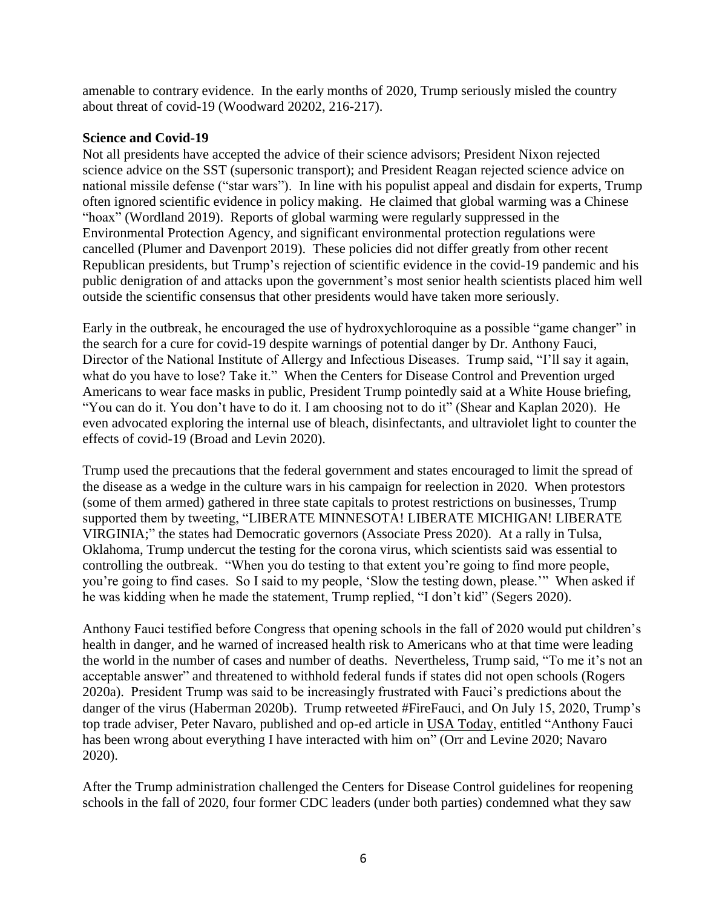amenable to contrary evidence. In the early months of 2020, Trump seriously misled the country about threat of covid-19 (Woodward 20202, 216-217).

#### **Science and Covid-19**

Not all presidents have accepted the advice of their science advisors; President Nixon rejected science advice on the SST (supersonic transport); and President Reagan rejected science advice on national missile defense ("star wars").In line with his populist appeal and disdain for experts, Trump often ignored scientific evidence in policy making. He claimed that global warming was a Chinese "hoax" (Wordland 2019). Reports of global warming were regularly suppressed in the Environmental Protection Agency, and significant environmental protection regulations were cancelled (Plumer and Davenport 2019). These policies did not differ greatly from other recent Republican presidents, but Trump's rejection of scientific evidence in the covid-19 pandemic and his public denigration of and attacks upon the government's most senior health scientists placed him well outside the scientific consensus that other presidents would have taken more seriously.

Early in the outbreak, he encouraged the use of hydroxychloroquine as a possible "game changer" in the search for a cure for covid-19 despite warnings of potential danger by Dr. Anthony Fauci, Director of the National Institute of Allergy and Infectious Diseases. Trump said, "I'll say it again, what do you have to lose? Take it." When the Centers for Disease Control and Prevention urged Americans to wear face masks in public, President Trump pointedly said at a White House briefing, "You can do it. You don't have to do it. I am choosing not to do it" (Shear and Kaplan 2020). He even advocated exploring the internal use of bleach, disinfectants, and ultraviolet light to counter the effects of covid-19 (Broad and Levin 2020).

Trump used the precautions that the federal government and states encouraged to limit the spread of the disease as a wedge in the culture wars in his campaign for reelection in 2020. When protestors (some of them armed) gathered in three state capitals to protest restrictions on businesses, Trump supported them by tweeting, "LIBERATE MINNESOTA! LIBERATE MICHIGAN! LIBERATE VIRGINIA;" the states had Democratic governors (Associate Press 2020). At a rally in Tulsa, Oklahoma, Trump undercut the testing for the corona virus, which scientists said was essential to controlling the outbreak. "When you do testing to that extent you're going to find more people, you're going to find cases. So I said to my people, 'Slow the testing down, please.'" When asked if he was kidding when he made the statement, Trump replied, "I don't kid" (Segers 2020).

Anthony Fauci testified before Congress that opening schools in the fall of 2020 would put children's health in danger, and he warned of increased health risk to Americans who at that time were leading the world in the number of cases and number of deaths. Nevertheless, Trump said, "To me it's not an acceptable answer" and threatened to withhold federal funds if states did not open schools (Rogers 2020a). President Trump was said to be increasingly frustrated with Fauci's predictions about the danger of the virus (Haberman 2020b). Trump retweeted #FireFauci, and On July 15, 2020, Trump's top trade adviser, Peter Navaro, published and op-ed article in USA Today, entitled "Anthony Fauci has been wrong about everything I have interacted with him on" (Orr and Levine 2020; Navaro 2020).

After the Trump administration challenged the Centers for Disease Control guidelines for reopening schools in the fall of 2020, four former CDC leaders (under both parties) condemned what they saw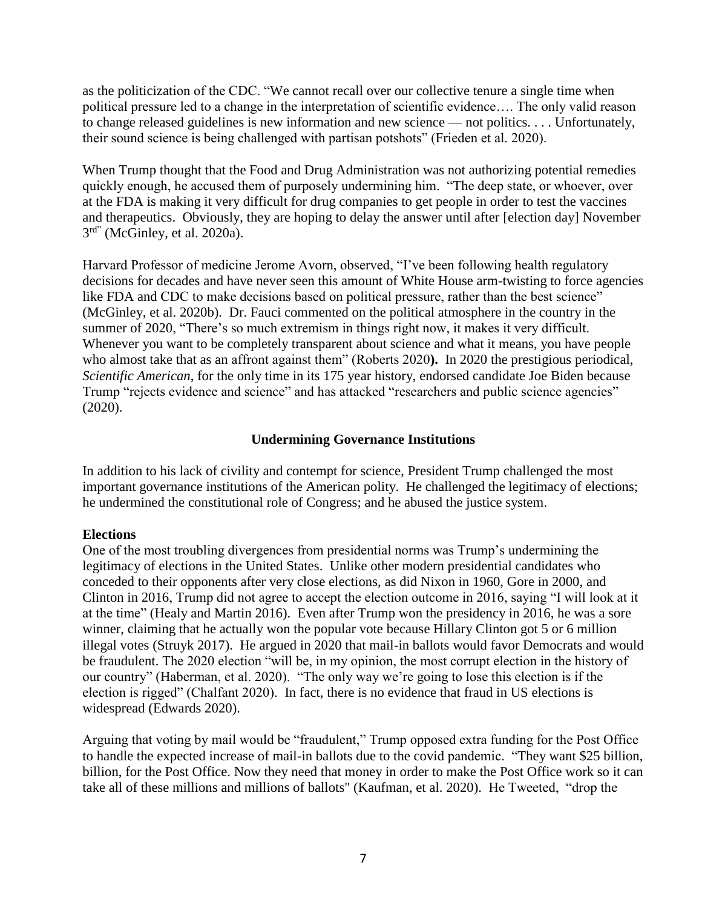as the politicization of the CDC. "We cannot recall over our collective tenure a single time when political pressure led to a change in the interpretation of scientific evidence…. The only valid reason to change released guidelines is new information and new science — not politics. . . . Unfortunately, their sound science is being challenged with partisan potshots" (Frieden et al. 2020).

When Trump thought that the Food and Drug Administration was not authorizing potential remedies quickly enough, he accused them of purposely undermining him. "The deep state, or whoever, over at the FDA is making it very difficult for drug companies to get people in order to test the vaccines and therapeutics. Obviously, they are hoping to delay the answer until after [election day] November 3<sup>rd"</sup> (McGinley, et al. 2020a).

Harvard Professor of medicine Jerome Avorn, observed, "I've been following health regulatory decisions for decades and have never seen this amount of White House arm-twisting to force agencies like FDA and CDC to make decisions based on political pressure, rather than the best science" (McGinley, et al. 2020b).Dr. Fauci commented on the political atmosphere in the country in the summer of 2020, "There's so much extremism in things right now, it makes it very difficult. Whenever you want to be completely transparent about science and what it means, you have people who almost take that as an affront against them" (Roberts 2020**).** In 2020 the prestigious periodical, *Scientific American*, for the only time in its 175 year history, endorsed candidate Joe Biden because Trump "rejects evidence and science" and has attacked "researchers and public science agencies" (2020).

# **Undermining Governance Institutions**

In addition to his lack of civility and contempt for science, President Trump challenged the most important governance institutions of the American polity. He challenged the legitimacy of elections; he undermined the constitutional role of Congress; and he abused the justice system.

#### **Elections**

One of the most troubling divergences from presidential norms was Trump's undermining the legitimacy of elections in the United States. Unlike other modern presidential candidates who conceded to their opponents after very close elections, as did Nixon in 1960, Gore in 2000, and Clinton in 2016, Trump did not agree to accept the election outcome in 2016, saying "I will look at it at the time" (Healy and Martin 2016). Even after Trump won the presidency in 2016, he was a sore winner, claiming that he actually won the popular vote because Hillary Clinton got 5 or 6 million illegal votes (Struyk 2017). He argued in 2020 that mail-in ballots would favor Democrats and would be fraudulent. The 2020 election "will be, in my opinion, the most corrupt election in the history of our country" (Haberman, et al. 2020). "The only way we're going to lose this election is if the election is rigged" (Chalfant 2020). In fact, there is no evidence that fraud in US elections is widespread (Edwards 2020).

Arguing that voting by mail would be "fraudulent," Trump opposed extra funding for the Post Office to handle the expected increase of mail-in ballots due to the covid pandemic. "They want \$25 billion, billion, for the Post Office. Now they need that money in order to make the Post Office work so it can take all of these millions and millions of ballots" (Kaufman, et al. 2020). He Tweeted, "drop the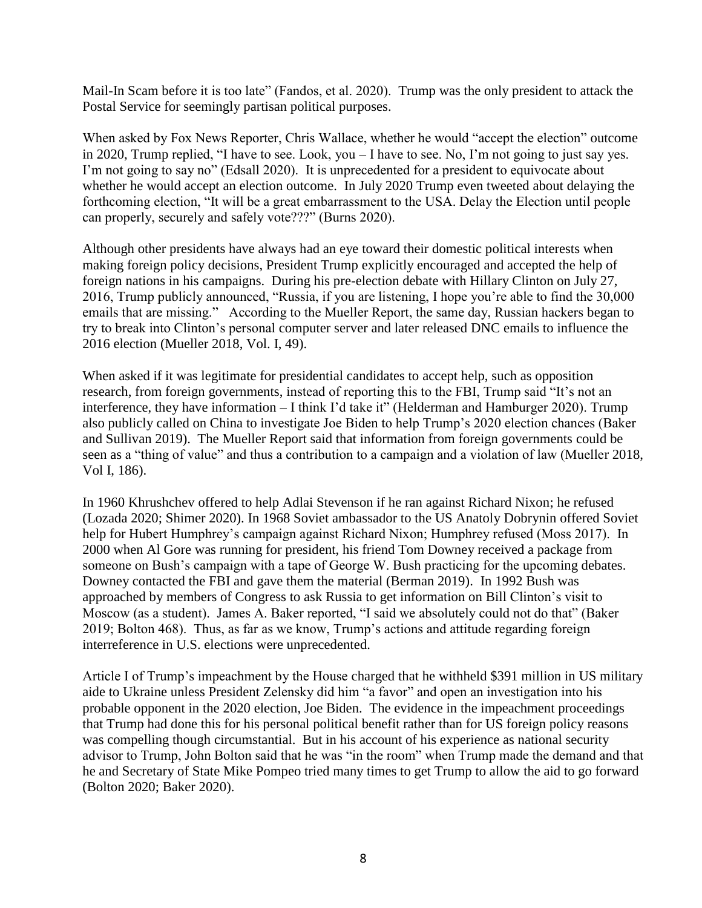Mail-In Scam before it is too late" (Fandos, et al. 2020). Trump was the only president to attack the Postal Service for seemingly partisan political purposes.

When asked by Fox News Reporter, Chris Wallace, whether he would "accept the election" outcome in 2020, Trump replied, "I have to see. Look, you – I have to see. No, I'm not going to just say yes. I'm not going to say no" (Edsall 2020). It is unprecedented for a president to equivocate about whether he would accept an election outcome. In July 2020 Trump even tweeted about delaying the forthcoming election, "It will be a great embarrassment to the USA. Delay the Election until people can properly, securely and safely vote???" (Burns 2020).

Although other presidents have always had an eye toward their domestic political interests when making foreign policy decisions, President Trump explicitly encouraged and accepted the help of foreign nations in his campaigns. During his pre-election debate with Hillary Clinton on July 27, 2016, Trump publicly announced, "Russia, if you are listening, I hope you're able to find the 30,000 emails that are missing." According to the Mueller Report, the same day, Russian hackers began to try to break into Clinton's personal computer server and later released DNC emails to influence the 2016 election (Mueller 2018, Vol. I, 49).

When asked if it was legitimate for presidential candidates to accept help, such as opposition research, from foreign governments, instead of reporting this to the FBI, Trump said "It's not an interference, they have information – I think I'd take it" (Helderman and Hamburger 2020). Trump also publicly called on China to investigate Joe Biden to help Trump's 2020 election chances (Baker and Sullivan 2019). The Mueller Report said that information from foreign governments could be seen as a "thing of value" and thus a contribution to a campaign and a violation of law (Mueller 2018, Vol I, 186).

In 1960 Khrushchev offered to help Adlai Stevenson if he ran against Richard Nixon; he refused (Lozada 2020; Shimer 2020). In 1968 Soviet ambassador to the US Anatoly Dobrynin offered Soviet help for Hubert Humphrey's campaign against Richard Nixon; Humphrey refused (Moss 2017). In 2000 when Al Gore was running for president, his friend Tom Downey received a package from someone on Bush's campaign with a tape of George W. Bush practicing for the upcoming debates. Downey contacted the FBI and gave them the material (Berman 2019). In 1992 Bush was approached by members of Congress to ask Russia to get information on Bill Clinton's visit to Moscow (as a student). James A. Baker reported, "I said we absolutely could not do that" (Baker 2019; Bolton 468). Thus, as far as we know, Trump's actions and attitude regarding foreign interreference in U.S. elections were unprecedented.

Article I of Trump's impeachment by the House charged that he withheld \$391 million in US military aide to Ukraine unless President Zelensky did him "a favor" and open an investigation into his probable opponent in the 2020 election, Joe Biden. The evidence in the impeachment proceedings that Trump had done this for his personal political benefit rather than for US foreign policy reasons was compelling though circumstantial. But in his account of his experience as national security advisor to Trump, John Bolton said that he was "in the room" when Trump made the demand and that he and Secretary of State Mike Pompeo tried many times to get Trump to allow the aid to go forward (Bolton 2020; Baker 2020).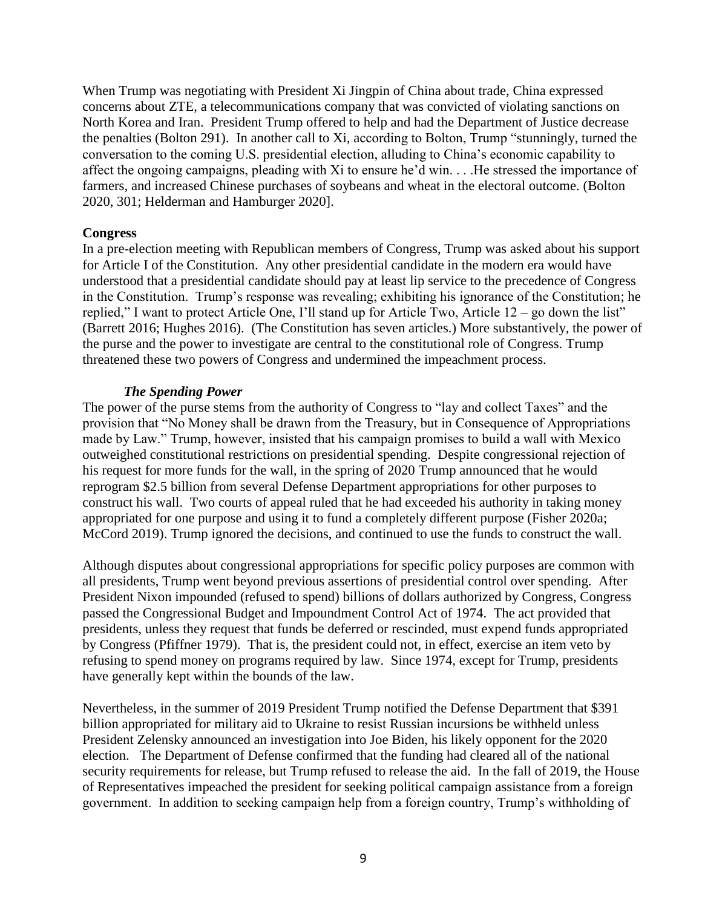When Trump was negotiating with President Xi Jingpin of China about trade, China expressed concerns about ZTE, a telecommunications company that was convicted of violating sanctions on North Korea and Iran. President Trump offered to help and had the Department of Justice decrease the penalties (Bolton 291). In another call to Xi, according to Bolton, Trump "stunningly, turned the conversation to the coming U.S. presidential election, alluding to China's economic capability to affect the ongoing campaigns, pleading with Xi to ensure he'd win. . . .He stressed the importance of farmers, and increased Chinese purchases of soybeans and wheat in the electoral outcome. (Bolton 2020, 301; Helderman and Hamburger 2020].

#### **Congress**

In a pre-election meeting with Republican members of Congress, Trump was asked about his support for Article I of the Constitution. Any other presidential candidate in the modern era would have understood that a presidential candidate should pay at least lip service to the precedence of Congress in the Constitution. Trump's response was revealing; exhibiting his ignorance of the Constitution; he replied," I want to protect Article One, I'll stand up for Article Two, Article 12 – go down the list" (Barrett 2016; Hughes 2016). (The Constitution has seven articles.) More substantively, the power of the purse and the power to investigate are central to the constitutional role of Congress. Trump threatened these two powers of Congress and undermined the impeachment process.

# *The Spending Power*

The power of the purse stems from the authority of Congress to "lay and collect Taxes" and the provision that "No Money shall be drawn from the Treasury, but in Consequence of Appropriations made by Law." Trump, however, insisted that his campaign promises to build a wall with Mexico outweighed constitutional restrictions on presidential spending. Despite congressional rejection of his request for more funds for the wall, in the spring of 2020 Trump announced that he would reprogram \$2.5 billion from several Defense Department appropriations for other purposes to construct his wall. Two courts of appeal ruled that he had exceeded his authority in taking money appropriated for one purpose and using it to fund a completely different purpose (Fisher 2020a; McCord 2019). Trump ignored the decisions, and continued to use the funds to construct the wall.

Although disputes about congressional appropriations for specific policy purposes are common with all presidents, Trump went beyond previous assertions of presidential control over spending. After President Nixon impounded (refused to spend) billions of dollars authorized by Congress, Congress passed the Congressional Budget and Impoundment Control Act of 1974. The act provided that presidents, unless they request that funds be deferred or rescinded, must expend funds appropriated by Congress (Pfiffner 1979). That is, the president could not, in effect, exercise an item veto by refusing to spend money on programs required by law. Since 1974, except for Trump, presidents have generally kept within the bounds of the law.

Nevertheless, in the summer of 2019 President Trump notified the Defense Department that \$391 billion appropriated for military aid to Ukraine to resist Russian incursions be withheld unless President Zelensky announced an investigation into Joe Biden, his likely opponent for the 2020 election. The Department of Defense confirmed that the funding had cleared all of the national security requirements for release, but Trump refused to release the aid. In the fall of 2019, the House of Representatives impeached the president for seeking political campaign assistance from a foreign government. In addition to seeking campaign help from a foreign country, Trump's withholding of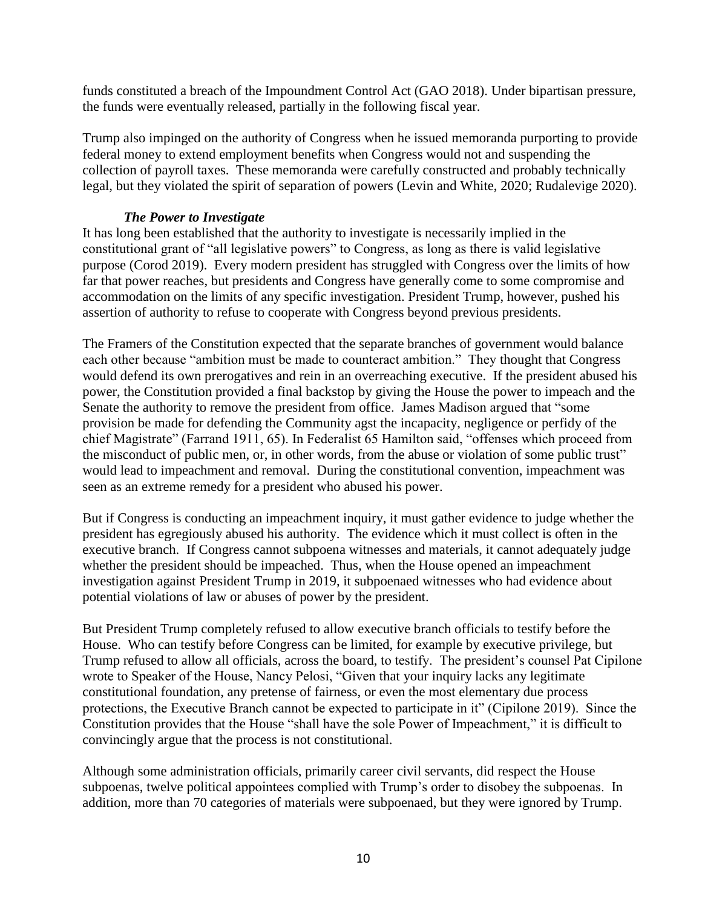funds constituted a breach of the Impoundment Control Act (GAO 2018). Under bipartisan pressure, the funds were eventually released, partially in the following fiscal year.

Trump also impinged on the authority of Congress when he issued memoranda purporting to provide federal money to extend employment benefits when Congress would not and suspending the collection of payroll taxes. These memoranda were carefully constructed and probably technically legal, but they violated the spirit of separation of powers (Levin and White, 2020; Rudalevige 2020).

# *The Power to Investigate*

It has long been established that the authority to investigate is necessarily implied in the constitutional grant of "all legislative powers" to Congress, as long as there is valid legislative purpose (Corod 2019). Every modern president has struggled with Congress over the limits of how far that power reaches, but presidents and Congress have generally come to some compromise and accommodation on the limits of any specific investigation. President Trump, however, pushed his assertion of authority to refuse to cooperate with Congress beyond previous presidents.

The Framers of the Constitution expected that the separate branches of government would balance each other because "ambition must be made to counteract ambition." They thought that Congress would defend its own prerogatives and rein in an overreaching executive. If the president abused his power, the Constitution provided a final backstop by giving the House the power to impeach and the Senate the authority to remove the president from office. James Madison argued that "some provision be made for defending the Community agst the incapacity, negligence or perfidy of the chief Magistrate" (Farrand 1911, 65). In Federalist 65 Hamilton said, "offenses which proceed from the misconduct of public men, or, in other words, from the abuse or violation of some public trust" would lead to impeachment and removal. During the constitutional convention, impeachment was seen as an extreme remedy for a president who abused his power.

But if Congress is conducting an impeachment inquiry, it must gather evidence to judge whether the president has egregiously abused his authority. The evidence which it must collect is often in the executive branch. If Congress cannot subpoena witnesses and materials, it cannot adequately judge whether the president should be impeached. Thus, when the House opened an impeachment investigation against President Trump in 2019, it subpoenaed witnesses who had evidence about potential violations of law or abuses of power by the president.

But President Trump completely refused to allow executive branch officials to testify before the House. Who can testify before Congress can be limited, for example by executive privilege, but Trump refused to allow all officials, across the board, to testify. The president's counsel Pat Cipilone wrote to Speaker of the House, Nancy Pelosi, "Given that your inquiry lacks any legitimate constitutional foundation, any pretense of fairness, or even the most elementary due process protections, the Executive Branch cannot be expected to participate in it" (Cipilone 2019). Since the Constitution provides that the House "shall have the sole Power of Impeachment," it is difficult to convincingly argue that the process is not constitutional.

Although some administration officials, primarily career civil servants, did respect the House subpoenas, twelve political appointees complied with Trump's order to disobey the subpoenas. In addition, more than 70 categories of materials were subpoenaed, but they were ignored by Trump.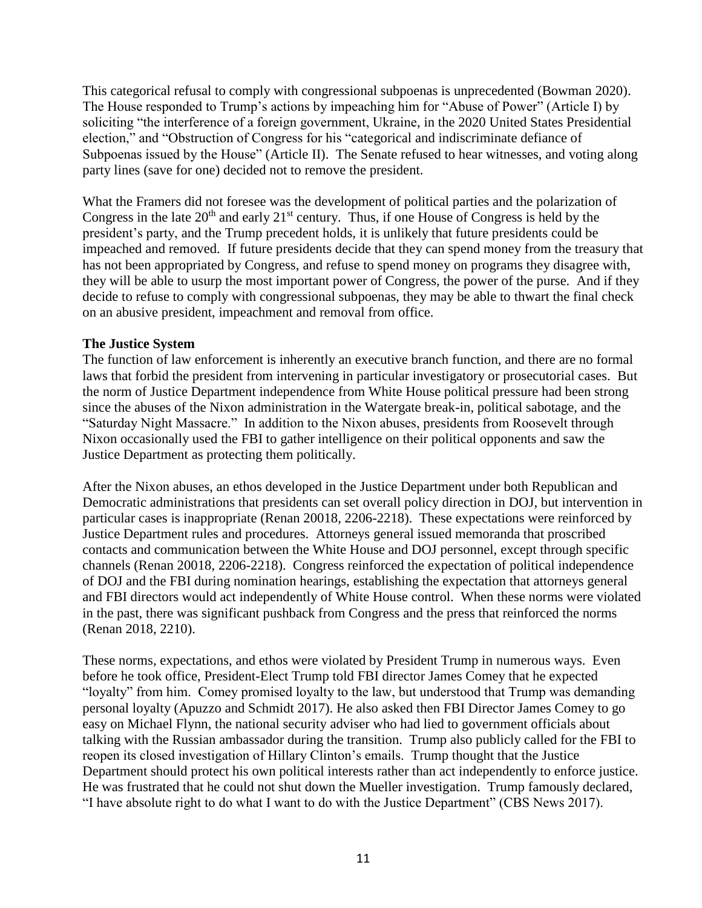This categorical refusal to comply with congressional subpoenas is unprecedented (Bowman 2020). The House responded to Trump's actions by impeaching him for "Abuse of Power" (Article I) by soliciting "the interference of a foreign government, Ukraine, in the 2020 United States Presidential election," and "Obstruction of Congress for his "categorical and indiscriminate defiance of Subpoenas issued by the House" (Article II). The Senate refused to hear witnesses, and voting along party lines (save for one) decided not to remove the president.

What the Framers did not foresee was the development of political parties and the polarization of Congress in the late  $20<sup>th</sup>$  and early  $21<sup>st</sup>$  century. Thus, if one House of Congress is held by the president's party, and the Trump precedent holds, it is unlikely that future presidents could be impeached and removed. If future presidents decide that they can spend money from the treasury that has not been appropriated by Congress, and refuse to spend money on programs they disagree with, they will be able to usurp the most important power of Congress, the power of the purse. And if they decide to refuse to comply with congressional subpoenas, they may be able to thwart the final check on an abusive president, impeachment and removal from office.

# **The Justice System**

The function of law enforcement is inherently an executive branch function, and there are no formal laws that forbid the president from intervening in particular investigatory or prosecutorial cases. But the norm of Justice Department independence from White House political pressure had been strong since the abuses of the Nixon administration in the Watergate break-in, political sabotage, and the "Saturday Night Massacre." In addition to the Nixon abuses, presidents from Roosevelt through Nixon occasionally used the FBI to gather intelligence on their political opponents and saw the Justice Department as protecting them politically.

After the Nixon abuses, an ethos developed in the Justice Department under both Republican and Democratic administrations that presidents can set overall policy direction in DOJ, but intervention in particular cases is inappropriate (Renan 20018, 2206-2218). These expectations were reinforced by Justice Department rules and procedures. Attorneys general issued memoranda that proscribed contacts and communication between the White House and DOJ personnel, except through specific channels (Renan 20018, 2206-2218). Congress reinforced the expectation of political independence of DOJ and the FBI during nomination hearings, establishing the expectation that attorneys general and FBI directors would act independently of White House control. When these norms were violated in the past, there was significant pushback from Congress and the press that reinforced the norms (Renan 2018, 2210).

These norms, expectations, and ethos were violated by President Trump in numerous ways. Even before he took office, President-Elect Trump told FBI director James Comey that he expected "loyalty" from him. Comey promised loyalty to the law, but understood that Trump was demanding personal loyalty (Apuzzo and Schmidt 2017). He also asked then FBI Director James Comey to go easy on Michael Flynn, the national security adviser who had lied to government officials about talking with the Russian ambassador during the transition. Trump also publicly called for the FBI to reopen its closed investigation of Hillary Clinton's emails. Trump thought that the Justice Department should protect his own political interests rather than act independently to enforce justice. He was frustrated that he could not shut down the Mueller investigation. Trump famously declared, "I have absolute right to do what I want to do with the Justice Department" (CBS News 2017).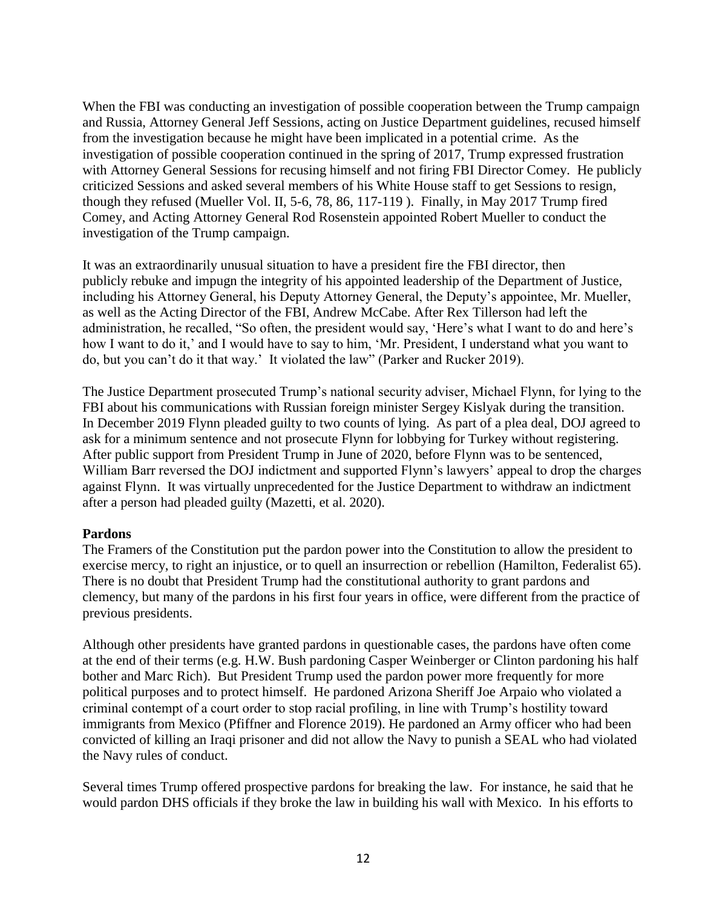When the FBI was conducting an investigation of possible cooperation between the Trump campaign and Russia, Attorney General Jeff Sessions, acting on Justice Department guidelines, recused himself from the investigation because he might have been implicated in a potential crime. As the investigation of possible cooperation continued in the spring of 2017, Trump expressed frustration with Attorney General Sessions for recusing himself and not firing FBI Director Comey. He publicly criticized Sessions and asked several members of his White House staff to get Sessions to resign, though they refused (Mueller Vol. II, 5-6, 78, 86, 117-119 ). Finally, in May 2017 Trump fired Comey, and Acting Attorney General Rod Rosenstein appointed Robert Mueller to conduct the investigation of the Trump campaign.

It was an extraordinarily unusual situation to have a president fire the FBI director, then publicly rebuke and impugn the integrity of his appointed leadership of the Department of Justice, including his Attorney General, his Deputy Attorney General, the Deputy's appointee, Mr. Mueller, as well as the Acting Director of the FBI, Andrew McCabe. After Rex Tillerson had left the administration, he recalled, "So often, the president would say, 'Here's what I want to do and here's how I want to do it,' and I would have to say to him, 'Mr. President, I understand what you want to do, but you can't do it that way.' It violated the law" (Parker and Rucker 2019).

The Justice Department prosecuted Trump's national security adviser, Michael Flynn, for lying to the FBI about his communications with Russian foreign minister Sergey Kislyak during the transition. In December 2019 Flynn pleaded guilty to two counts of lying. As part of a plea deal, DOJ agreed to ask for a minimum sentence and not prosecute Flynn for lobbying for Turkey without registering. After public support from President Trump in June of 2020, before Flynn was to be sentenced, William Barr reversed the DOJ indictment and supported Flynn's lawyers' appeal to drop the charges against Flynn. It was virtually unprecedented for the Justice Department to withdraw an indictment after a person had pleaded guilty (Mazetti, et al. 2020).

# **Pardons**

The Framers of the Constitution put the pardon power into the Constitution to allow the president to exercise mercy, to right an injustice, or to quell an insurrection or rebellion (Hamilton, Federalist 65). There is no doubt that President Trump had the constitutional authority to grant pardons and clemency, but many of the pardons in his first four years in office, were different from the practice of previous presidents.

Although other presidents have granted pardons in questionable cases, the pardons have often come at the end of their terms (e.g. H.W. Bush pardoning Casper Weinberger or Clinton pardoning his half bother and Marc Rich). But President Trump used the pardon power more frequently for more political purposes and to protect himself. He pardoned Arizona Sheriff Joe Arpaio who violated a criminal contempt of a court order to stop racial profiling, in line with Trump's hostility toward immigrants from Mexico (Pfiffner and Florence 2019). He pardoned an Army officer who had been convicted of killing an Iraqi prisoner and did not allow the Navy to punish a SEAL who had violated the Navy rules of conduct.

Several times Trump offered prospective pardons for breaking the law. For instance, he said that he would pardon DHS officials if they broke the law in building his wall with Mexico. In his efforts to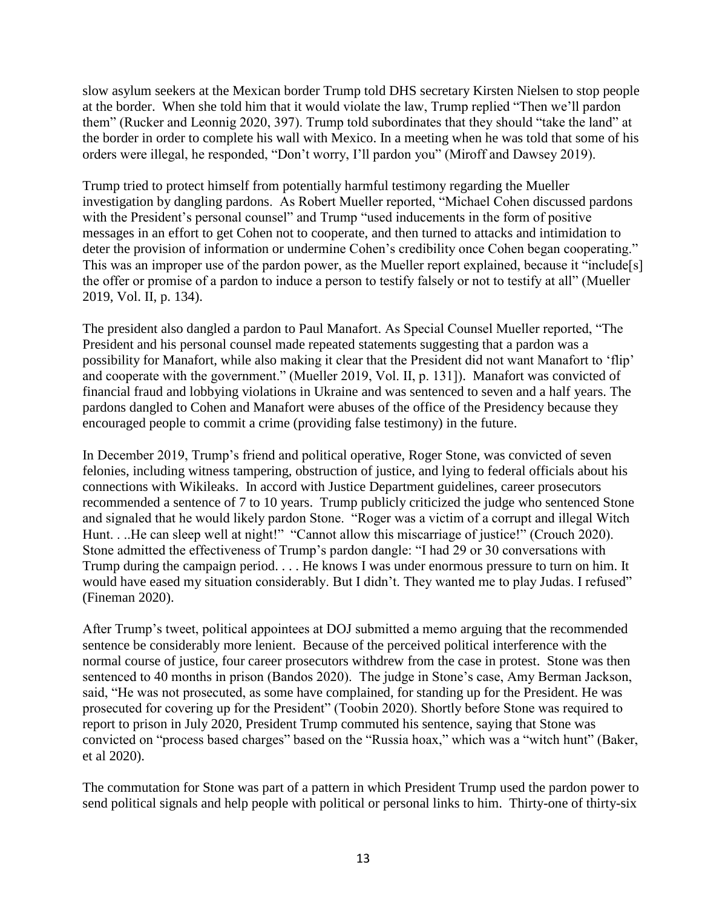slow asylum seekers at the Mexican border Trump told DHS secretary Kirsten Nielsen to stop people at the border. When she told him that it would violate the law, Trump replied "Then we'll pardon them" (Rucker and Leonnig 2020, 397). Trump told subordinates that they should "take the land" at the border in order to complete his wall with Mexico. In a meeting when he was told that some of his orders were illegal, he responded, "Don't worry, I'll pardon you" (Miroff and Dawsey 2019).

Trump tried to protect himself from potentially harmful testimony regarding the Mueller investigation by dangling pardons. As Robert Mueller reported, "Michael Cohen discussed pardons with the President's personal counsel" and Trump "used inducements in the form of positive messages in an effort to get Cohen not to cooperate, and then turned to attacks and intimidation to deter the provision of information or undermine Cohen's credibility once Cohen began cooperating." This was an improper use of the pardon power, as the Mueller report explained, because it "include[s] the offer or promise of a pardon to induce a person to testify falsely or not to testify at all" (Mueller 2019, Vol. II, p. 134).

The president also dangled a pardon to Paul Manafort. As Special Counsel Mueller reported, "The President and his personal counsel made repeated statements suggesting that a pardon was a possibility for Manafort, while also making it clear that the President did not want Manafort to 'flip' and cooperate with the government." (Mueller 2019, Vol. II, p. 131]). Manafort was convicted of financial fraud and lobbying violations in Ukraine and was sentenced to seven and a half years. The pardons dangled to Cohen and Manafort were abuses of the office of the Presidency because they encouraged people to commit a crime (providing false testimony) in the future.

In December 2019, Trump's friend and political operative, Roger Stone, was convicted of seven felonies, including witness tampering, obstruction of justice, and lying to federal officials about his connections with Wikileaks. In accord with Justice Department guidelines, career prosecutors recommended a sentence of 7 to 10 years. Trump publicly criticized the judge who sentenced Stone and signaled that he would likely pardon Stone. "Roger was a victim of a corrupt and illegal Witch Hunt. . ..He can sleep well at night!" "Cannot allow this miscarriage of justice!" (Crouch 2020). Stone admitted the effectiveness of Trump's pardon dangle: "I had 29 or 30 conversations with Trump during the campaign period. . . . He knows I was under enormous pressure to turn on him. It would have eased my situation considerably. But I didn't. They wanted me to play Judas. I refused" (Fineman 2020).

After Trump's tweet, political appointees at DOJ submitted a memo arguing that the recommended sentence be considerably more lenient. Because of the perceived political interference with the normal course of justice, four career prosecutors withdrew from the case in protest. Stone was then sentenced to 40 months in prison (Bandos 2020). The judge in Stone's case, Amy Berman Jackson, said, "He was not prosecuted, as some have complained, for standing up for the President. He was prosecuted for covering up for the President" (Toobin 2020). Shortly before Stone was required to report to prison in July 2020, President Trump commuted his sentence, saying that Stone was convicted on "process based charges" based on the "Russia hoax," which was a "witch hunt" (Baker, et al 2020).

The commutation for Stone was part of a pattern in which President Trump used the pardon power to send political signals and help people with political or personal links to him. Thirty-one of thirty-six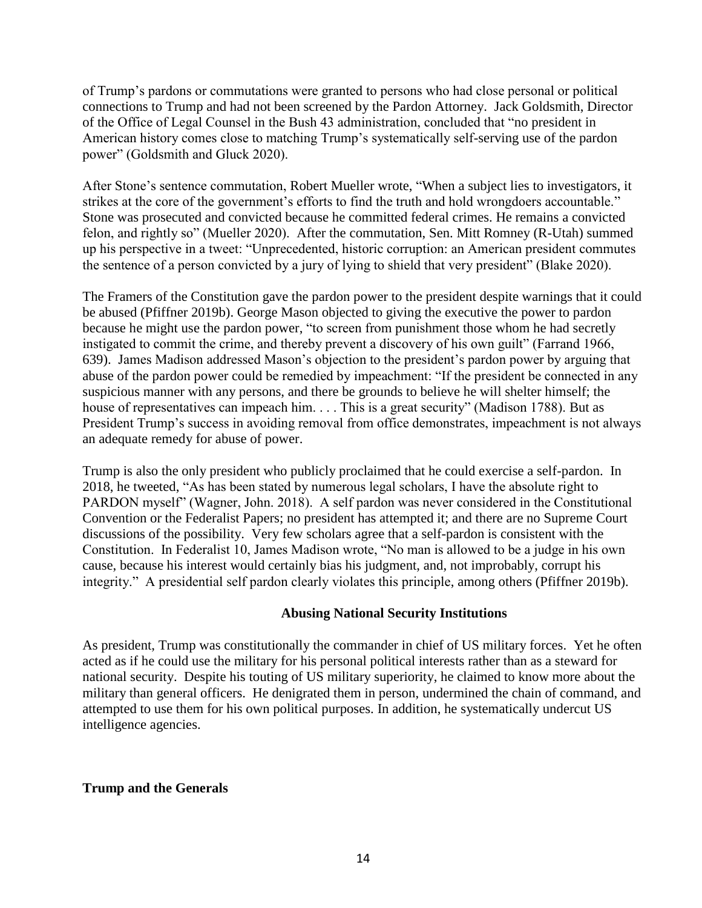of Trump's pardons or commutations were granted to persons who had close personal or political connections to Trump and had not been screened by the Pardon Attorney. Jack Goldsmith, Director of the Office of Legal Counsel in the Bush 43 administration, concluded that "no president in American history comes close to matching Trump's systematically self-serving use of the pardon power" (Goldsmith and Gluck 2020).

After Stone's sentence commutation, Robert Mueller wrote, "When a subject lies to investigators, it strikes at the core of the government's efforts to find the truth and hold wrongdoers accountable." Stone was prosecuted and convicted because he committed federal crimes. He remains a convicted felon, and rightly so" (Mueller 2020). After the commutation, Sen. Mitt Romney (R-Utah) summed up his perspective in a tweet: "Unprecedented, historic corruption: an American president commutes the sentence of a person convicted by a jury of lying to shield that very president" (Blake 2020).

The Framers of the Constitution gave the pardon power to the president despite warnings that it could be abused (Pfiffner 2019b). George Mason objected to giving the executive the power to pardon because he might use the pardon power, "to screen from punishment those whom he had secretly instigated to commit the crime, and thereby prevent a discovery of his own guilt" (Farrand 1966, 639). James Madison addressed Mason's objection to the president's pardon power by arguing that abuse of the pardon power could be remedied by impeachment: "If the president be connected in any suspicious manner with any persons, and there be grounds to believe he will shelter himself; the house of representatives can impeach him. . . . This is a great security" (Madison 1788). But as President Trump's success in avoiding removal from office demonstrates, impeachment is not always an adequate remedy for abuse of power.

Trump is also the only president who publicly proclaimed that he could exercise a self-pardon. In 2018, he tweeted, "As has been stated by numerous legal scholars, I have the absolute right to PARDON myself" (Wagner, John. 2018). A self pardon was never considered in the Constitutional Convention or the Federalist Papers; no president has attempted it; and there are no Supreme Court discussions of the possibility. Very few scholars agree that a self-pardon is consistent with the Constitution. In Federalist 10, James Madison wrote, "No man is allowed to be a judge in his own cause, because his interest would certainly bias his judgment, and, not improbably, corrupt his integrity." A presidential self pardon clearly violates this principle, among others (Pfiffner 2019b).

# **Abusing National Security Institutions**

As president, Trump was constitutionally the commander in chief of US military forces. Yet he often acted as if he could use the military for his personal political interests rather than as a steward for national security. Despite his touting of US military superiority, he claimed to know more about the military than general officers. He denigrated them in person, undermined the chain of command, and attempted to use them for his own political purposes. In addition, he systematically undercut US intelligence agencies.

#### **Trump and the Generals**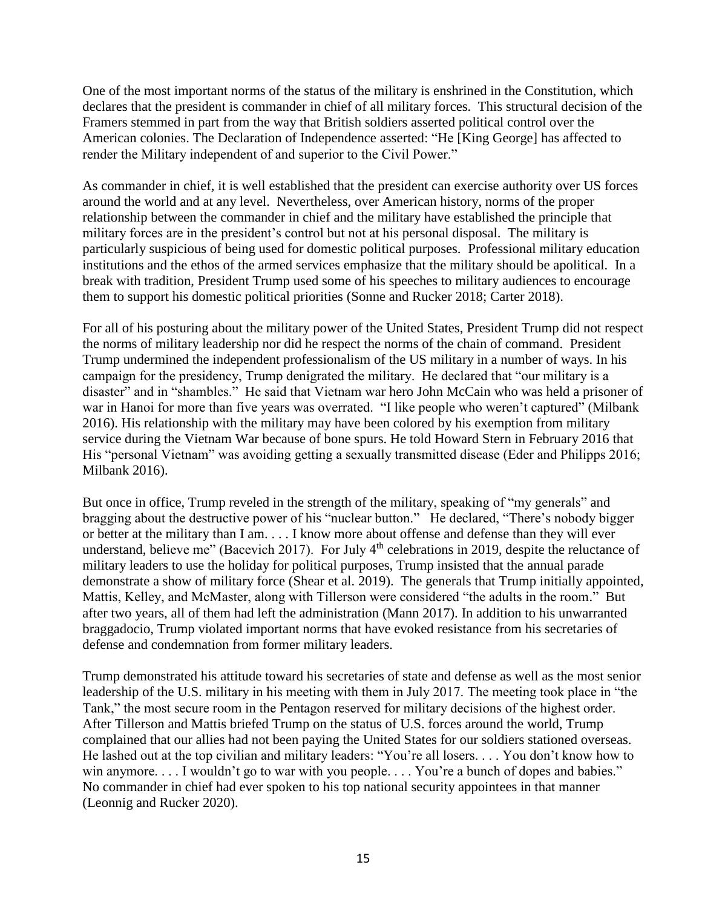One of the most important norms of the status of the military is enshrined in the Constitution, which declares that the president is commander in chief of all military forces. This structural decision of the Framers stemmed in part from the way that British soldiers asserted political control over the American colonies. The Declaration of Independence asserted: "He [King George] has affected to render the Military independent of and superior to the Civil Power."

As commander in chief, it is well established that the president can exercise authority over US forces around the world and at any level. Nevertheless, over American history, norms of the proper relationship between the commander in chief and the military have established the principle that military forces are in the president's control but not at his personal disposal. The military is particularly suspicious of being used for domestic political purposes. Professional military education institutions and the ethos of the armed services emphasize that the military should be apolitical. In a break with tradition, President Trump used some of his speeches to military audiences to encourage them to support his domestic political priorities (Sonne and Rucker 2018; Carter 2018).

For all of his posturing about the military power of the United States, President Trump did not respect the norms of military leadership nor did he respect the norms of the chain of command. President Trump undermined the independent professionalism of the US military in a number of ways. In his campaign for the presidency, Trump denigrated the military. He declared that "our military is a disaster" and in "shambles." He said that Vietnam war hero John McCain who was held a prisoner of war in Hanoi for more than five years was overrated. "I like people who weren't captured" (Milbank 2016). His relationship with the military may have been colored by his exemption from military service during the Vietnam War because of bone spurs. He told Howard Stern in February 2016 that His "personal Vietnam" was avoiding getting a sexually transmitted disease (Eder and Philipps 2016; Milbank 2016).

But once in office, Trump reveled in the strength of the military, speaking of "my generals" and bragging about the destructive power of his "nuclear button." He declared, "There's nobody bigger or better at the military than I am. . . . I know more about offense and defense than they will ever understand, believe me" (Bacevich 2017). For July 4<sup>th</sup> celebrations in 2019, despite the reluctance of military leaders to use the holiday for political purposes, Trump insisted that the annual parade demonstrate a show of military force (Shear et al. 2019). The generals that Trump initially appointed, Mattis, Kelley, and McMaster, along with Tillerson were considered "the adults in the room." But after two years, all of them had left the administration (Mann 2017). In addition to his unwarranted braggadocio, Trump violated important norms that have evoked resistance from his secretaries of defense and condemnation from former military leaders.

Trump demonstrated his attitude toward his secretaries of state and defense as well as the most senior leadership of the U.S. military in his meeting with them in July 2017. The meeting took place in "the Tank," the most secure room in the Pentagon reserved for military decisions of the highest order. After Tillerson and Mattis briefed Trump on the status of U.S. forces around the world, Trump complained that our allies had not been paying the United States for our soldiers stationed overseas. He lashed out at the top civilian and military leaders: "You're all losers. . . . You don't know how to win anymore. . . . I wouldn't go to war with you people. . . . You're a bunch of dopes and babies." No commander in chief had ever spoken to his top national security appointees in that manner (Leonnig and Rucker 2020).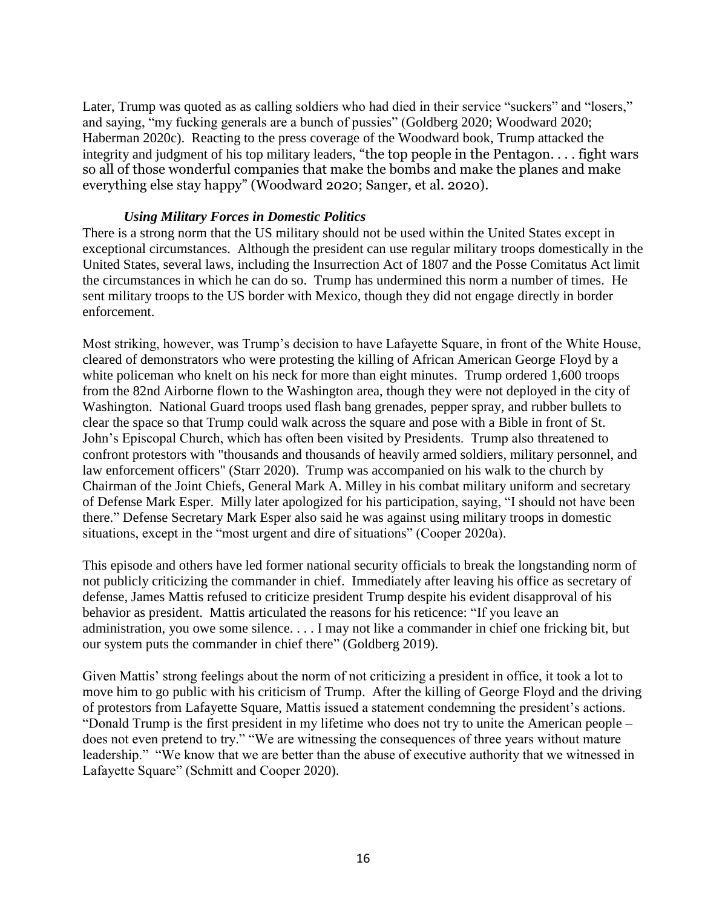Later, Trump was quoted as as calling soldiers who had died in their service "suckers" and "losers," and saying, "my fucking generals are a bunch of pussies" (Goldberg 2020; Woodward 2020; Haberman 2020c). Reacting to the press coverage of the Woodward book, Trump attacked the integrity and judgment of his top military leaders, "the top people in the Pentagon. . . . fight wars so all of those wonderful companies that make the bombs and make the planes and make everything else stay happy" (Woodward 2020; Sanger, et al. 2020).

#### *Using Military Forces in Domestic Politics*

There is a strong norm that the US military should not be used within the United States except in exceptional circumstances. Although the president can use regular military troops domestically in the United States, several laws, including the Insurrection Act of 1807 and the Posse Comitatus Act limit the circumstances in which he can do so. Trump has undermined this norm a number of times. He sent military troops to the US border with Mexico, though they did not engage directly in border enforcement.

Most striking, however, was Trump's decision to have Lafayette Square, in front of the White House, cleared of demonstrators who were protesting the killing of African American George Floyd by a white policeman who knelt on his neck for more than eight minutes. Trump ordered 1,600 troops from the 82nd Airborne flown to the Washington area, though they were not deployed in the city of Washington. National Guard troops used flash bang grenades, pepper spray, and rubber bullets to clear the space so that Trump could walk across the square and pose with a Bible in front of St. John's Episcopal Church, which has often been visited by Presidents. Trump also threatened to confront protestors with "thousands and thousands of heavily armed soldiers, military personnel, and law enforcement officers" (Starr 2020). Trump was accompanied on his walk to the church by Chairman of the Joint Chiefs, General Mark A. Milley in his combat military uniform and secretary of Defense Mark Esper. Milly later apologized for his participation, saying, "I should not have been there." Defense Secretary Mark Esper also said he was against using military troops in domestic situations, except in the "most urgent and dire of situations" (Cooper 2020a).

This episode and others have led former national security officials to break the longstanding norm of not publicly criticizing the commander in chief. Immediately after leaving his office as secretary of defense, James Mattis refused to criticize president Trump despite his evident disapproval of his behavior as president. Mattis articulated the reasons for his reticence: "If you leave an administration, you owe some silence. . . . I may not like a commander in chief one fricking bit, but our system puts the commander in chief there" (Goldberg 2019).

Given Mattis' strong feelings about the norm of not criticizing a president in office, it took a lot to move him to go public with his criticism of Trump. After the killing of George Floyd and the driving of protestors from Lafayette Square, Mattis issued a statement condemning the president's actions. "Donald Trump is the first president in my lifetime who does not try to unite the American people – does not even pretend to try." "We are witnessing the consequences of three years without mature leadership." "We know that we are better than the abuse of executive authority that we witnessed in Lafayette Square" (Schmitt and Cooper 2020).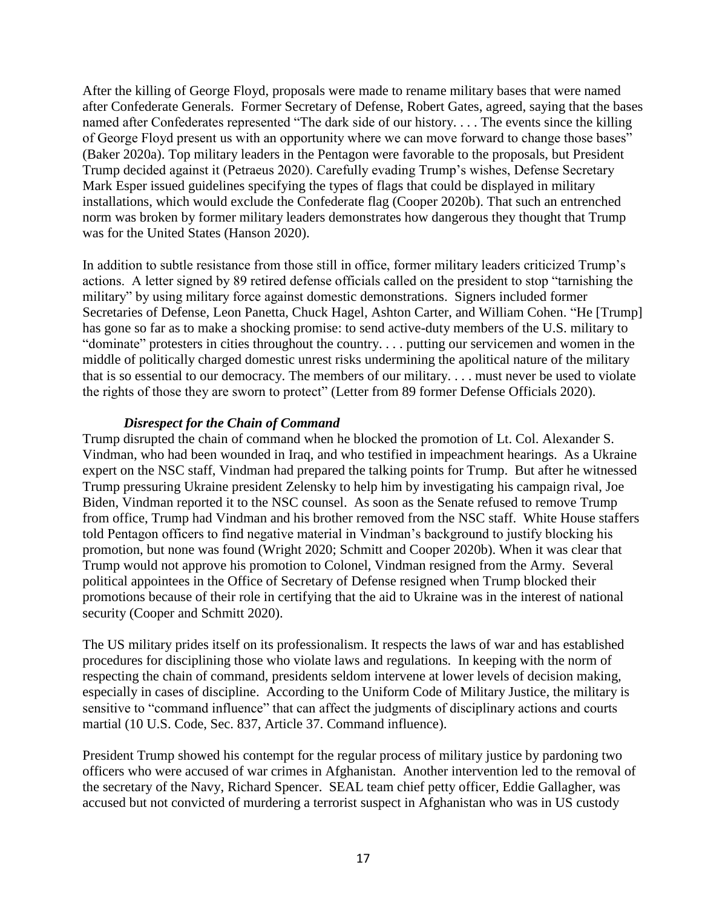After the killing of George Floyd, proposals were made to rename military bases that were named after Confederate Generals. Former Secretary of Defense, Robert Gates, agreed, saying that the bases named after Confederates represented "The dark side of our history. . . . The events since the killing of George Floyd present us with an opportunity where we can move forward to change those bases" (Baker 2020a). Top military leaders in the Pentagon were favorable to the proposals, but President Trump decided against it (Petraeus 2020). Carefully evading Trump's wishes, Defense Secretary Mark Esper issued guidelines specifying the types of flags that could be displayed in military installations, which would exclude the Confederate flag (Cooper 2020b). That such an entrenched norm was broken by former military leaders demonstrates how dangerous they thought that Trump was for the United States (Hanson 2020).

In addition to subtle resistance from those still in office, former military leaders criticized Trump's actions. A letter signed by 89 retired defense officials called on the president to stop "tarnishing the military" by using military force against domestic demonstrations. Signers included former Secretaries of Defense, Leon Panetta, Chuck Hagel, Ashton Carter, and William Cohen. "He [Trump] has gone so far as to make a shocking promise: to send active-duty members of the U.S. military to "dominate" protesters in cities throughout the country. . . . putting our servicemen and women in the middle of politically charged domestic unrest risks undermining the apolitical nature of the military that is so essential to our democracy. The members of our military. . . . must never be used to violate the rights of those they are sworn to protect" (Letter from 89 former Defense Officials 2020).

# *Disrespect for the Chain of Command*

Trump disrupted the chain of command when he blocked the promotion of Lt. Col. Alexander S. Vindman, who had been wounded in Iraq, and who testified in impeachment hearings. As a Ukraine expert on the NSC staff, Vindman had prepared the talking points for Trump. But after he witnessed Trump pressuring Ukraine president Zelensky to help him by investigating his campaign rival, Joe Biden, Vindman reported it to the NSC counsel. As soon as the Senate refused to remove Trump from office, Trump had Vindman and his brother removed from the NSC staff. White House staffers told Pentagon officers to find negative material in Vindman's background to justify blocking his promotion, but none was found (Wright 2020; Schmitt and Cooper 2020b). When it was clear that Trump would not approve his promotion to Colonel, Vindman resigned from the Army. Several political appointees in the Office of Secretary of Defense resigned when Trump blocked their promotions because of their role in certifying that the aid to Ukraine was in the interest of national security (Cooper and Schmitt 2020).

The US military prides itself on its professionalism. It respects the laws of war and has established procedures for disciplining those who violate laws and regulations. In keeping with the norm of respecting the chain of command, presidents seldom intervene at lower levels of decision making, especially in cases of discipline. According to the Uniform Code of Military Justice, the military is sensitive to "command influence" that can affect the judgments of disciplinary actions and courts martial (10 U.S. Code, Sec. 837, Article 37. Command influence).

President Trump showed his contempt for the regular process of military justice by pardoning two officers who were accused of war crimes in Afghanistan. Another intervention led to the removal of the secretary of the Navy, Richard Spencer. SEAL team chief petty officer, Eddie Gallagher, was accused but not convicted of murdering a terrorist suspect in Afghanistan who was in US custody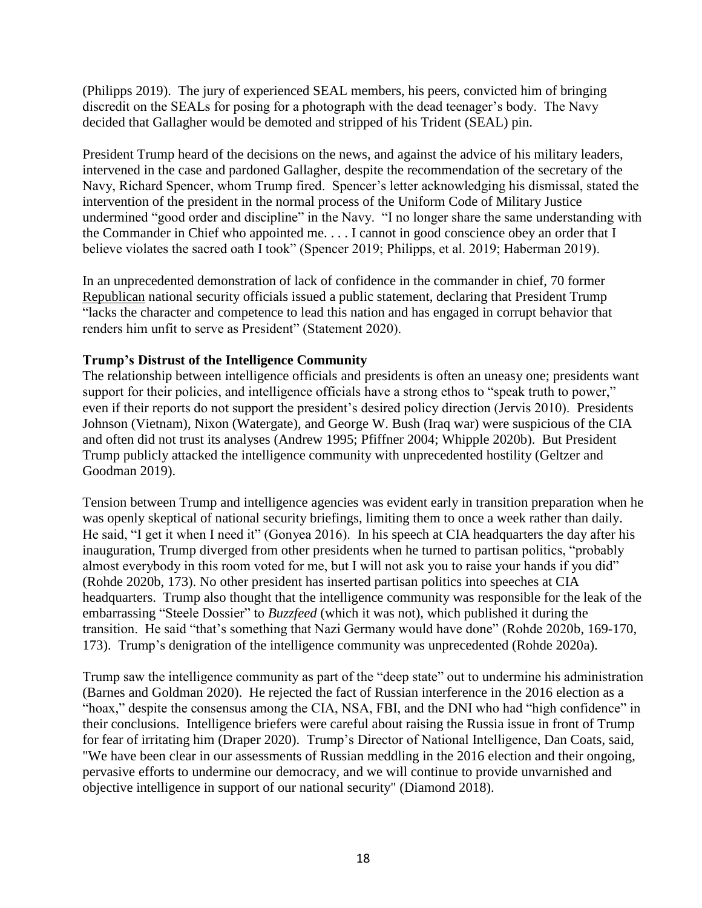(Philipps 2019). The jury of experienced SEAL members, his peers, convicted him of bringing discredit on the SEALs for posing for a photograph with the dead teenager's body. The Navy decided that Gallagher would be demoted and stripped of his Trident (SEAL) pin.

President Trump heard of the decisions on the news, and against the advice of his military leaders, intervened in the case and pardoned Gallagher, despite the recommendation of the secretary of the Navy, Richard Spencer, whom Trump fired. Spencer's letter acknowledging his dismissal, stated the intervention of the president in the normal process of the Uniform Code of Military Justice undermined "good order and discipline" in the Navy. "I no longer share the same understanding with the Commander in Chief who appointed me. . . . I cannot in good conscience obey an order that I believe violates the sacred oath I took" (Spencer 2019; Philipps, et al. 2019; Haberman 2019).

In an unprecedented demonstration of lack of confidence in the commander in chief, 70 former Republican national security officials issued a public statement, declaring that President Trump "lacks the character and competence to lead this nation and has engaged in corrupt behavior that renders him unfit to serve as President" (Statement 2020).

#### **Trump's Distrust of the Intelligence Community**

The relationship between intelligence officials and presidents is often an uneasy one; presidents want support for their policies, and intelligence officials have a strong ethos to "speak truth to power," even if their reports do not support the president's desired policy direction (Jervis 2010). Presidents Johnson (Vietnam), Nixon (Watergate), and George W. Bush (Iraq war) were suspicious of the CIA and often did not trust its analyses (Andrew 1995; Pfiffner 2004; Whipple 2020b). But President Trump publicly attacked the intelligence community with unprecedented hostility (Geltzer and Goodman 2019).

Tension between Trump and intelligence agencies was evident early in transition preparation when he was openly skeptical of national security briefings, limiting them to once a week rather than daily. He said, "I get it when I need it" (Gonyea 2016). In his speech at CIA headquarters the day after his inauguration, Trump diverged from other presidents when he turned to partisan politics, "probably almost everybody in this room voted for me, but I will not ask you to raise your hands if you did" (Rohde 2020b, 173). No other president has inserted partisan politics into speeches at CIA headquarters. Trump also thought that the intelligence community was responsible for the leak of the embarrassing "Steele Dossier" to *Buzzfeed* (which it was not), which published it during the transition. He said "that's something that Nazi Germany would have done" (Rohde 2020b, 169-170, 173). Trump's denigration of the intelligence community was unprecedented (Rohde 2020a).

Trump saw the intelligence community as part of the "deep state" out to undermine his administration (Barnes and Goldman 2020). He rejected the fact of Russian interference in the 2016 election as a "hoax," despite the consensus among the CIA, NSA, FBI, and the DNI who had "high confidence" in their conclusions. Intelligence briefers were careful about raising the Russia issue in front of Trump for fear of irritating him (Draper 2020). Trump's Director of National Intelligence, Dan Coats, said, "We have been clear in our assessments of Russian meddling in the 2016 election and their ongoing, pervasive efforts to undermine our democracy, and we will continue to provide unvarnished and objective intelligence in support of our national security" (Diamond 2018).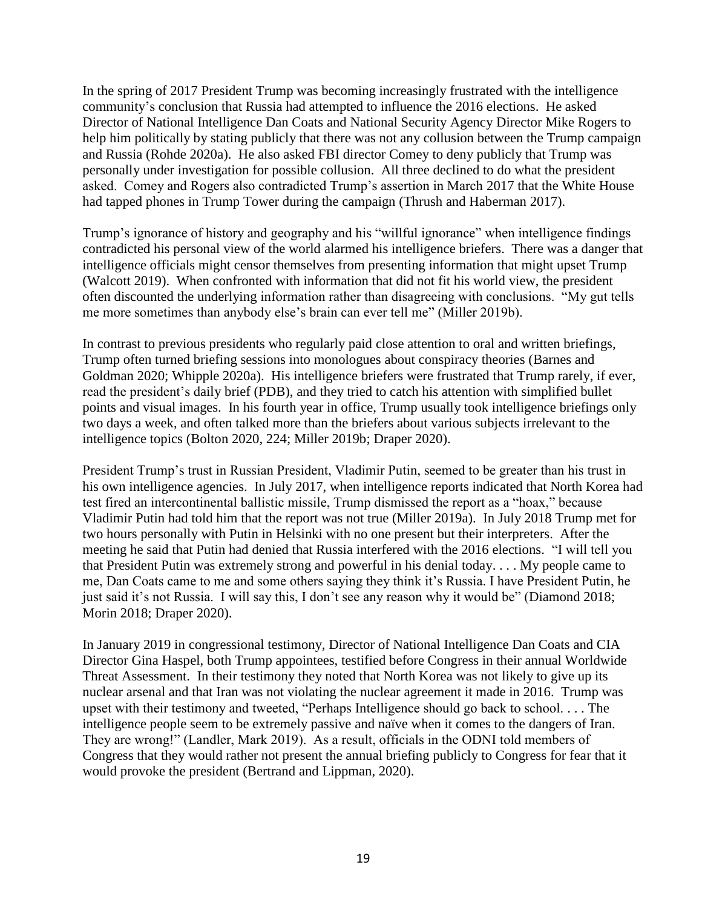In the spring of 2017 President Trump was becoming increasingly frustrated with the intelligence community's conclusion that Russia had attempted to influence the 2016 elections. He asked Director of National Intelligence Dan Coats and National Security Agency Director Mike Rogers to help him politically by stating publicly that there was not any collusion between the Trump campaign and Russia (Rohde 2020a). He also asked FBI director Comey to deny publicly that Trump was personally under investigation for possible collusion. All three declined to do what the president asked. Comey and Rogers also contradicted Trump's assertion in March 2017 that the White House had tapped phones in Trump Tower during the campaign (Thrush and Haberman 2017).

Trump's ignorance of history and geography and his "willful ignorance" when intelligence findings contradicted his personal view of the world alarmed his intelligence briefers. There was a danger that intelligence officials might censor themselves from presenting information that might upset Trump (Walcott 2019). When confronted with information that did not fit his world view, the president often discounted the underlying information rather than disagreeing with conclusions. "My gut tells me more sometimes than anybody else's brain can ever tell me" (Miller 2019b).

In contrast to previous presidents who regularly paid close attention to oral and written briefings, Trump often turned briefing sessions into monologues about conspiracy theories (Barnes and Goldman 2020; Whipple 2020a). His intelligence briefers were frustrated that Trump rarely, if ever, read the president's daily brief (PDB), and they tried to catch his attention with simplified bullet points and visual images. In his fourth year in office, Trump usually took intelligence briefings only two days a week, and often talked more than the briefers about various subjects irrelevant to the intelligence topics (Bolton 2020, 224; Miller 2019b; Draper 2020).

President Trump's trust in Russian President, Vladimir Putin, seemed to be greater than his trust in his own intelligence agencies. In July 2017, when intelligence reports indicated that North Korea had test fired an intercontinental ballistic missile, Trump dismissed the report as a "hoax," because Vladimir Putin had told him that the report was not true (Miller 2019a). In July 2018 Trump met for two hours personally with Putin in Helsinki with no one present but their interpreters. After the meeting he said that Putin had denied that Russia interfered with the 2016 elections. "I will tell you that President Putin was extremely strong and powerful in his denial today. . . . My people came to me, Dan Coats came to me and some others saying they think it's Russia. I have President Putin, he just said it's not Russia. I will say this, I don't see any reason why it would be" (Diamond 2018; Morin 2018; Draper 2020).

In January 2019 in congressional testimony, Director of National Intelligence Dan Coats and CIA Director Gina Haspel, both Trump appointees, testified before Congress in their annual Worldwide Threat Assessment. In their testimony they noted that North Korea was not likely to give up its nuclear arsenal and that Iran was not violating the nuclear agreement it made in 2016. Trump was upset with their testimony and tweeted, "Perhaps Intelligence should go back to school. . . . The intelligence people seem to be extremely passive and naïve when it comes to the dangers of Iran. They are wrong!" (Landler, Mark 2019). As a result, officials in the ODNI told members of Congress that they would rather not present the annual briefing publicly to Congress for fear that it would provoke the president (Bertrand and Lippman, 2020).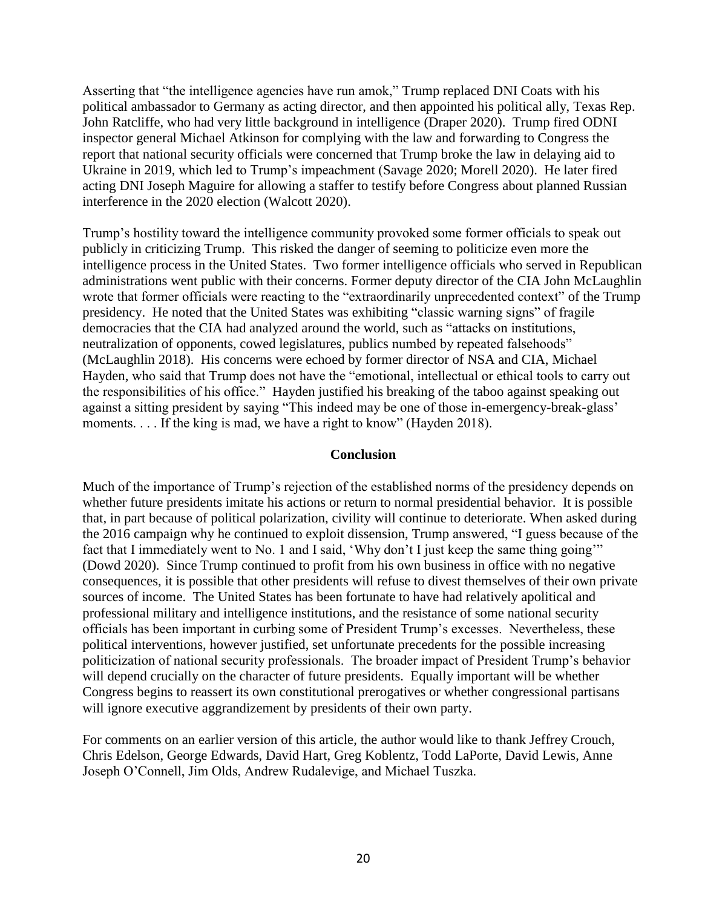Asserting that "the intelligence agencies have run amok," Trump replaced DNI Coats with his political ambassador to Germany as acting director, and then appointed his political ally, Texas Rep. John Ratcliffe, who had very little background in intelligence (Draper 2020). Trump fired ODNI inspector general Michael Atkinson for complying with the law and forwarding to Congress the report that national security officials were concerned that Trump broke the law in delaying aid to Ukraine in 2019, which led to Trump's impeachment (Savage 2020; Morell 2020). He later fired acting DNI Joseph Maguire for allowing a staffer to testify before Congress about planned Russian interference in the 2020 election (Walcott 2020).

Trump's hostility toward the intelligence community provoked some former officials to speak out publicly in criticizing Trump. This risked the danger of seeming to politicize even more the intelligence process in the United States. Two former intelligence officials who served in Republican administrations went public with their concerns. Former deputy director of the CIA John McLaughlin wrote that former officials were reacting to the "extraordinarily unprecedented context" of the Trump presidency. He noted that the United States was exhibiting "classic warning signs" of fragile democracies that the CIA had analyzed around the world, such as "attacks on institutions, neutralization of opponents, cowed legislatures, publics numbed by repeated falsehoods" (McLaughlin 2018). His concerns were echoed by former director of NSA and CIA, Michael Hayden, who said that Trump does not have the "emotional, intellectual or ethical tools to carry out the responsibilities of his office." Hayden justified his breaking of the taboo against speaking out against a sitting president by saying "This indeed may be one of those in-emergency-break-glass' moments. . . . If the king is mad, we have a right to know" (Hayden 2018).

#### **Conclusion**

Much of the importance of Trump's rejection of the established norms of the presidency depends on whether future presidents imitate his actions or return to normal presidential behavior. It is possible that, in part because of political polarization, civility will continue to deteriorate. When asked during the 2016 campaign why he continued to exploit dissension, Trump answered, "I guess because of the fact that I immediately went to No. 1 and I said, 'Why don't I just keep the same thing going'" (Dowd 2020). Since Trump continued to profit from his own business in office with no negative consequences, it is possible that other presidents will refuse to divest themselves of their own private sources of income. The United States has been fortunate to have had relatively apolitical and professional military and intelligence institutions, and the resistance of some national security officials has been important in curbing some of President Trump's excesses. Nevertheless, these political interventions, however justified, set unfortunate precedents for the possible increasing politicization of national security professionals. The broader impact of President Trump's behavior will depend crucially on the character of future presidents. Equally important will be whether Congress begins to reassert its own constitutional prerogatives or whether congressional partisans will ignore executive aggrandizement by presidents of their own party.

For comments on an earlier version of this article, the author would like to thank Jeffrey Crouch, Chris Edelson, George Edwards, David Hart, Greg Koblentz, Todd LaPorte, David Lewis, Anne Joseph O'Connell, Jim Olds, Andrew Rudalevige, and Michael Tuszka.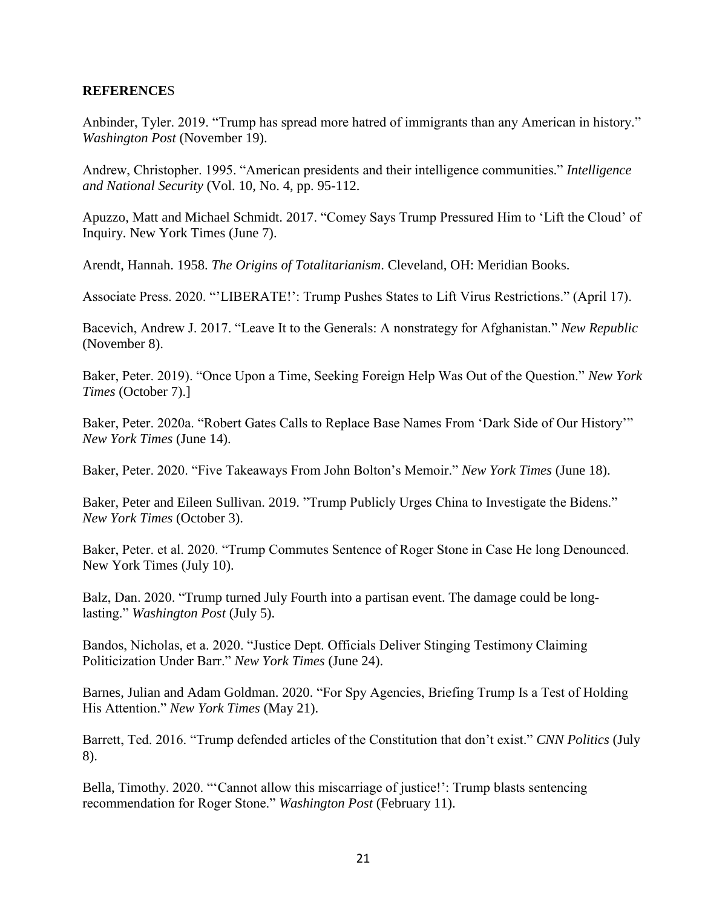#### **REFERENCE**S

Anbinder, Tyler. 2019. "Trump has spread more hatred of immigrants than any American in history." *Washington Post* (November 19).

Andrew, Christopher. 1995. "American presidents and their intelligence communities." *Intelligence and National Security* (Vol. 10, No. 4, pp. 95-112.

Apuzzo, Matt and Michael Schmidt. 2017. "Comey Says Trump Pressured Him to 'Lift the Cloud' of Inquiry. New York Times (June 7).

Arendt, Hannah. 1958. *The Origins of Totalitarianism*. Cleveland, OH: Meridian Books.

Associate Press. 2020. "'LIBERATE!': Trump Pushes States to Lift Virus Restrictions." (April 17).

Bacevich, Andrew J. 2017. "Leave It to the Generals: A nonstrategy for Afghanistan." *New Republic* (November 8).

Baker, Peter. 2019). "Once Upon a Time, Seeking Foreign Help Was Out of the Question." *New York Times* (October 7).]

Baker, Peter. 2020a. "Robert Gates Calls to Replace Base Names From 'Dark Side of Our History'" *New York Times* (June 14).

Baker, Peter. 2020. "Five Takeaways From John Bolton's Memoir." *New York Times* (June 18).

Baker, Peter and Eileen Sullivan. 2019. "Trump Publicly Urges China to Investigate the Bidens." *New York Times* (October 3).

Baker, Peter. et al. 2020. "Trump Commutes Sentence of Roger Stone in Case He long Denounced. New York Times (July 10).

Balz, Dan. 2020. "Trump turned July Fourth into a partisan event. The damage could be longlasting." *Washington Post* (July 5).

Bandos, Nicholas, et a. 2020. "Justice Dept. Officials Deliver Stinging Testimony Claiming Politicization Under Barr." *New York Times* (June 24).

Barnes, Julian and Adam Goldman. 2020. "For Spy Agencies, Briefing Trump Is a Test of Holding His Attention." *New York Times* (May 21).

Barrett, Ted. 2016. "Trump defended articles of the Constitution that don't exist." *CNN Politics* (July 8).

Bella, Timothy. 2020. "'Cannot allow this miscarriage of justice!': Trump blasts sentencing recommendation for Roger Stone." *Washington Post* (February 11).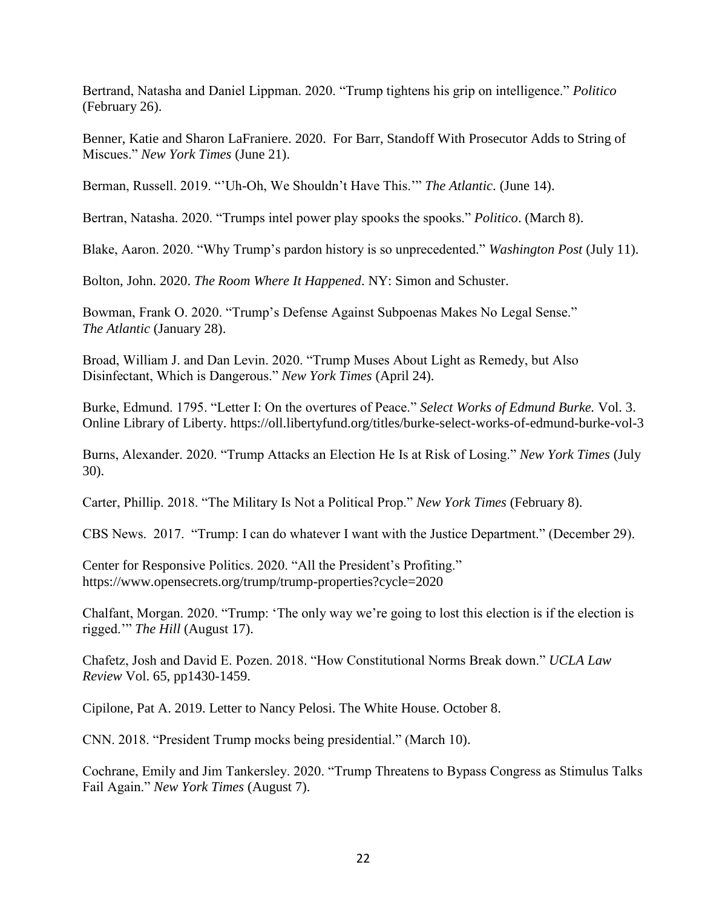Bertrand, Natasha and Daniel Lippman. 2020. "Trump tightens his grip on intelligence." *Politico* (February 26).

Benner, Katie and Sharon LaFraniere. 2020. For Barr, Standoff With Prosecutor Adds to String of Miscues." *New York Times* (June 21).

Berman, Russell. 2019. "'Uh-Oh, We Shouldn't Have This.'" *The Atlantic*. (June 14).

Bertran, Natasha. 2020. "Trumps intel power play spooks the spooks." *Politico*. (March 8).

Blake, Aaron. 2020. "Why Trump's pardon history is so unprecedented." *Washington Post* (July 11).

Bolton, John. 2020. *The Room Where It Happened*. NY: Simon and Schuster.

Bowman, Frank O. 2020. "Trump's Defense Against Subpoenas Makes No Legal Sense." *The Atlantic* (January 28).

Broad, William J. and Dan Levin. 2020. "Trump Muses About Light as Remedy, but Also Disinfectant, Which is Dangerous." *New York Times* (April 24).

Burke, Edmund. 1795. "Letter I: On the overtures of Peace." *Select Works of Edmund Burke.* Vol. 3. Online Library of Liberty. https://oll.libertyfund.org/titles/burke-select-works-of-edmund-burke-vol-3

Burns, Alexander. 2020. "Trump Attacks an Election He Is at Risk of Losing." *New York Times* (July 30).

Carter, Phillip. 2018. "The Military Is Not a Political Prop." *New York Times* (February 8).

CBS News. 2017. "Trump: I can do whatever I want with the Justice Department." (December 29).

Center for Responsive Politics. 2020. "All the President's Profiting." https://www.opensecrets.org/trump/trump-properties?cycle=2020

Chalfant, Morgan. 2020. "Trump: 'The only way we're going to lost this election is if the election is rigged.'" *The Hill* (August 17).

Chafetz, Josh and David E. Pozen. 2018. "How Constitutional Norms Break down." *UCLA Law Review* Vol. 65, pp1430-1459.

Cipilone, Pat A. 2019. Letter to Nancy Pelosi. The White House. October 8.

CNN. 2018. "President Trump mocks being presidential." (March 10).

Cochrane, Emily and Jim Tankersley. 2020. "Trump Threatens to Bypass Congress as Stimulus Talks Fail Again." *New York Times* (August 7).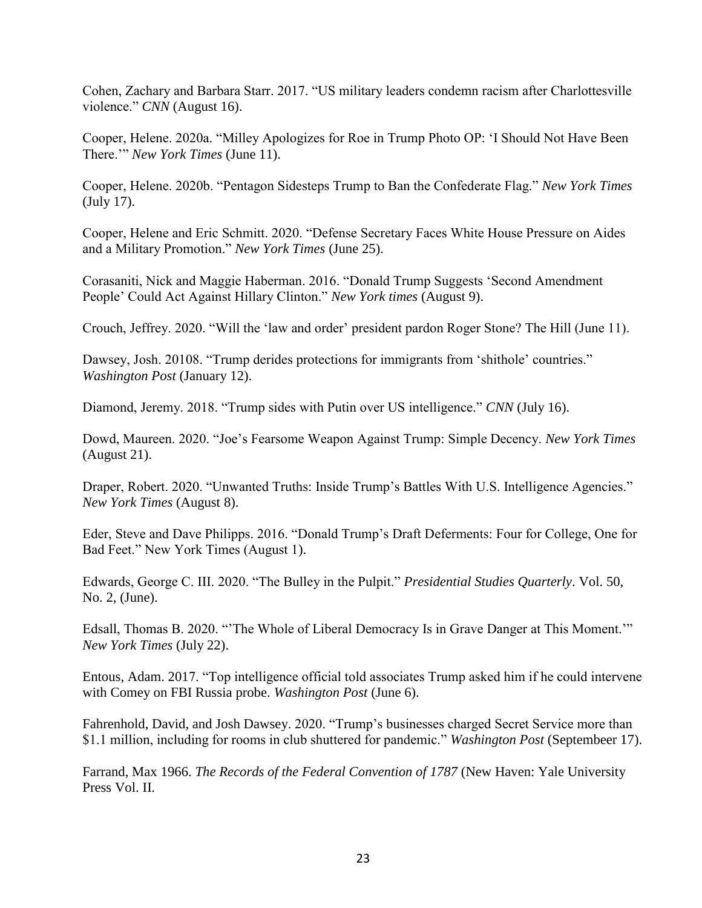Cohen, Zachary and Barbara Starr. 2017. "US military leaders condemn racism after Charlottesville violence." *CNN* (August 16).

Cooper, Helene. 2020a. "Milley Apologizes for Roe in Trump Photo OP: 'I Should Not Have Been There.'" *New York Times* (June 11).

Cooper, Helene. 2020b. "Pentagon Sidesteps Trump to Ban the Confederate Flag." *New York Times* (July 17).

Cooper, Helene and Eric Schmitt. 2020. "Defense Secretary Faces White House Pressure on Aides and a Military Promotion." *New York Times* (June 25).

Corasaniti, Nick and Maggie Haberman. 2016. "Donald Trump Suggests 'Second Amendment People' Could Act Against Hillary Clinton." *New York times* (August 9).

Crouch, Jeffrey. 2020. "Will the 'law and order' president pardon Roger Stone? The Hill (June 11).

Dawsey, Josh. 20108. "Trump derides protections for immigrants from 'shithole' countries." *Washington Post* (January 12).

Diamond, Jeremy. 2018. "Trump sides with Putin over US intelligence." *CNN* (July 16).

Dowd, Maureen. 2020. "Joe's Fearsome Weapon Against Trump: Simple Decency. *New York Times* (August 21).

Draper, Robert. 2020. "Unwanted Truths: Inside Trump's Battles With U.S. Intelligence Agencies." *New York Times* (August 8).

Eder, Steve and Dave Philipps. 2016. "Donald Trump's Draft Deferments: Four for College, One for Bad Feet." New York Times (August 1).

Edwards, George C. III. 2020. "The Bulley in the Pulpit." *Presidential Studies Quarterly*. Vol. 50, No. 2, (June).

Edsall, Thomas B. 2020. "'The Whole of Liberal Democracy Is in Grave Danger at This Moment.'" *New York Times* (July 22).

Entous, Adam. 2017. "Top intelligence official told associates Trump asked him if he could intervene with Comey on FBI Russia probe. *Washington Post* (June 6).

Fahrenhold, David, and Josh Dawsey. 2020. "Trump's businesses charged Secret Service more than \$1.1 million, including for rooms in club shuttered for pandemic." *Washington Post* (Septembeer 17).

Farrand, Max 1966. *The Records of the Federal Convention of 1787* (New Haven: Yale University Press Vol. II.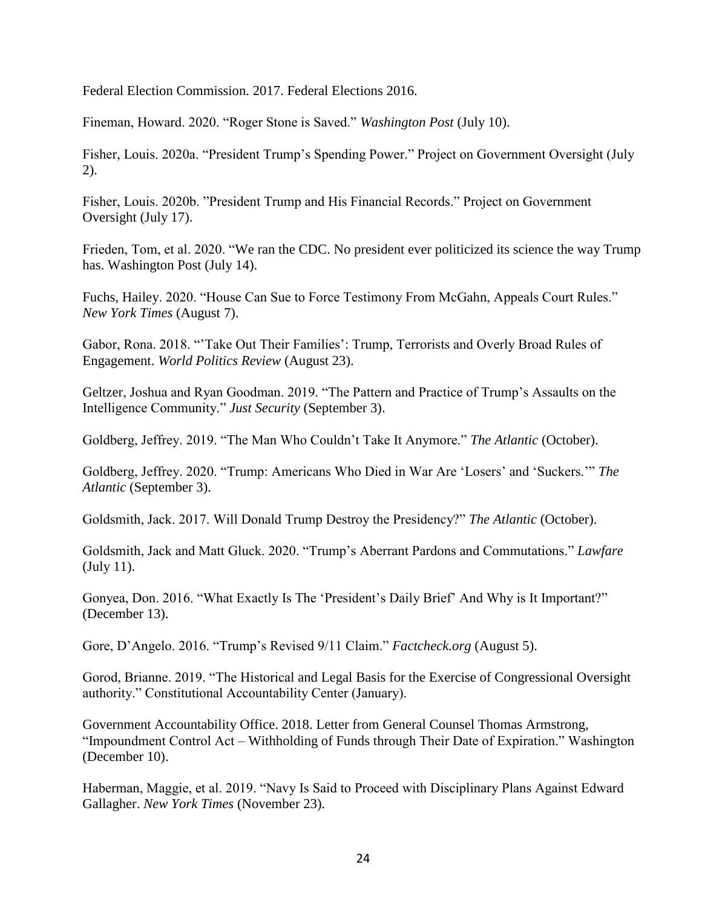Federal Election Commission. 2017. Federal Elections 2016.

Fineman, Howard. 2020. "Roger Stone is Saved." *Washington Post* (July 10).

Fisher, Louis. 2020a. "President Trump's Spending Power." Project on Government Oversight (July 2).

Fisher, Louis. 2020b. "President Trump and His Financial Records." Project on Government Oversight (July 17).

Frieden, Tom, et al. 2020. "We ran the CDC. No president ever politicized its science the way Trump has. Washington Post (July 14).

Fuchs, Hailey. 2020. "House Can Sue to Force Testimony From McGahn, Appeals Court Rules." *New York Times* (August 7).

Gabor, Rona. 2018. "'Take Out Their Families': Trump, Terrorists and Overly Broad Rules of Engagement. *World Politics Review* (August 23).

Geltzer, Joshua and Ryan Goodman. 2019. "The Pattern and Practice of Trump's Assaults on the Intelligence Community." *Just Security* (September 3).

Goldberg, Jeffrey. 2019. "The Man Who Couldn't Take It Anymore." *The Atlantic* (October).

Goldberg, Jeffrey. 2020. "Trump: Americans Who Died in War Are 'Losers' and 'Suckers.'" *The Atlantic* (September 3).

Goldsmith, Jack. 2017. Will Donald Trump Destroy the Presidency?" *The Atlantic* (October).

Goldsmith, Jack and Matt Gluck. 2020. "Trump's Aberrant Pardons and Commutations." *Lawfare*  (July 11).

Gonyea, Don. 2016. "What Exactly Is The 'President's Daily Brief' And Why is It Important?" (December 13).

Gore, D'Angelo. 2016. "Trump's Revised 9/11 Claim." *Factcheck.org* (August 5).

Gorod, Brianne. 2019. "The Historical and Legal Basis for the Exercise of Congressional Oversight authority." Constitutional Accountability Center (January).

Government Accountability Office. 2018. Letter from General Counsel Thomas Armstrong, "Impoundment Control Act – Withholding of Funds through Their Date of Expiration." Washington (December 10).

Haberman, Maggie, et al. 2019. "Navy Is Said to Proceed with Disciplinary Plans Against Edward Gallagher. *New York Times* (November 23).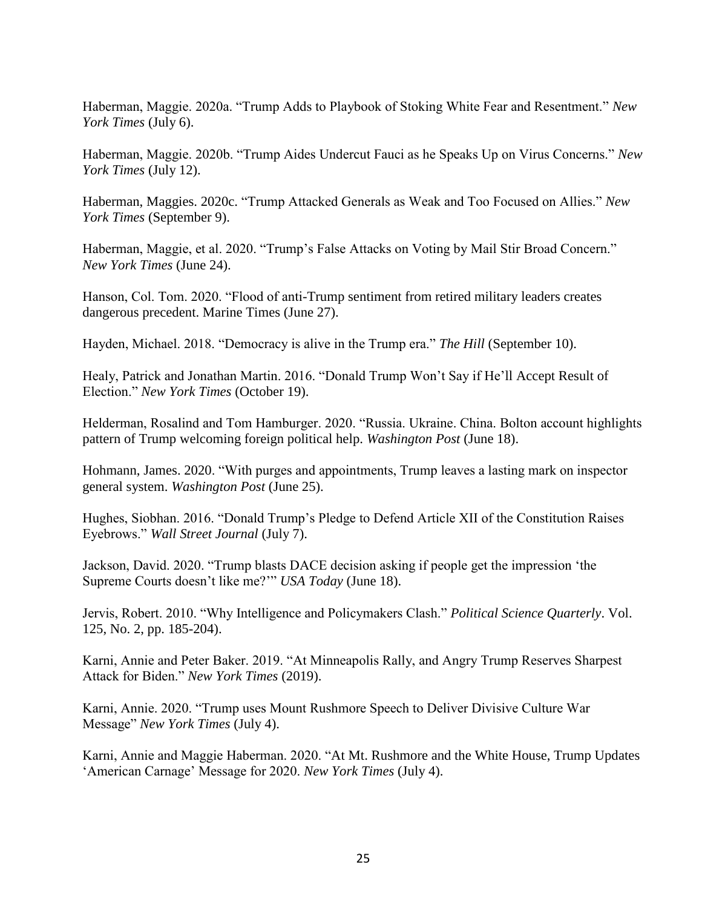Haberman, Maggie. 2020a. "Trump Adds to Playbook of Stoking White Fear and Resentment." *New York Times* (July 6).

Haberman, Maggie. 2020b. "Trump Aides Undercut Fauci as he Speaks Up on Virus Concerns." *New York Times* (July 12).

Haberman, Maggies. 2020c. "Trump Attacked Generals as Weak and Too Focused on Allies." *New York Times* (September 9).

Haberman, Maggie, et al. 2020. "Trump's False Attacks on Voting by Mail Stir Broad Concern." *New York Times* (June 24).

Hanson, Col. Tom. 2020. "Flood of anti-Trump sentiment from retired military leaders creates dangerous precedent. Marine Times (June 27).

Hayden, Michael. 2018. "Democracy is alive in the Trump era." *The Hill* (September 10).

Healy, Patrick and Jonathan Martin. 2016. "Donald Trump Won't Say if He'll Accept Result of Election." *New York Times* (October 19).

Helderman, Rosalind and Tom Hamburger. 2020. "Russia. Ukraine. China. Bolton account highlights pattern of Trump welcoming foreign political help. *Washington Post* (June 18).

Hohmann, James. 2020. "With purges and appointments, Trump leaves a lasting mark on inspector general system. *Washington Post* (June 25).

Hughes, Siobhan. 2016. "Donald Trump's Pledge to Defend Article XII of the Constitution Raises Eyebrows." *Wall Street Journal* (July 7).

Jackson, David. 2020. "Trump blasts DACE decision asking if people get the impression 'the Supreme Courts doesn't like me?'" *USA Today* (June 18).

Jervis, Robert. 2010. "Why Intelligence and Policymakers Clash." *Political Science Quarterly*. Vol. 125, No. 2, pp. 185-204).

Karni, Annie and Peter Baker. 2019. "At Minneapolis Rally, and Angry Trump Reserves Sharpest Attack for Biden." *New York Times* (2019).

Karni, Annie. 2020. "Trump uses Mount Rushmore Speech to Deliver Divisive Culture War Message" *New York Times* (July 4).

Karni, Annie and Maggie Haberman. 2020. "At Mt. Rushmore and the White House, Trump Updates 'American Carnage' Message for 2020. *New York Times* (July 4).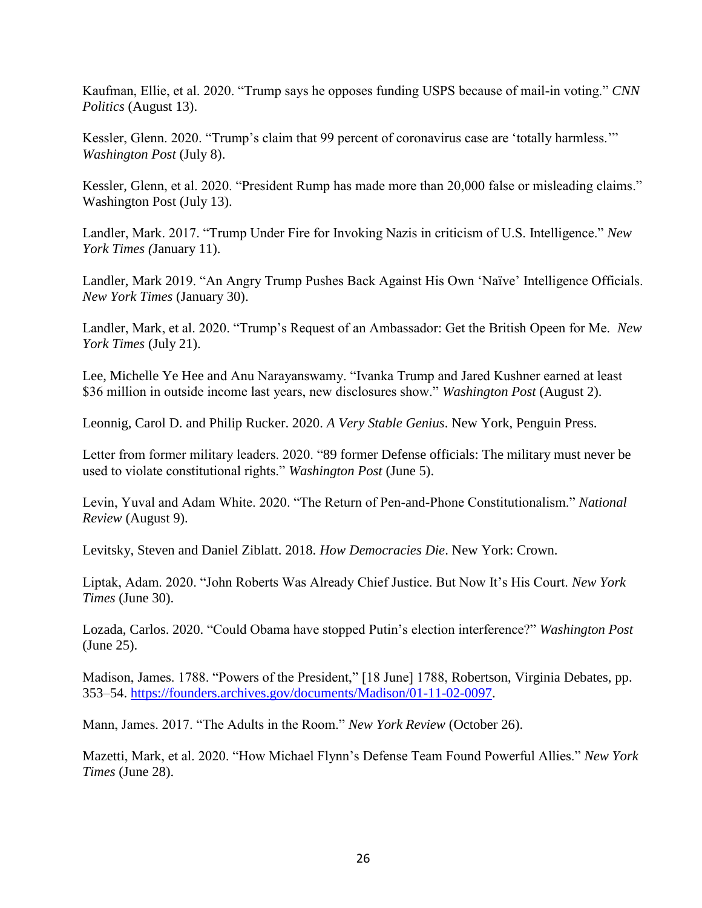Kaufman, Ellie, et al. 2020. "Trump says he opposes funding USPS because of mail-in voting." *CNN Politics* (August 13).

Kessler, Glenn. 2020. "Trump's claim that 99 percent of coronavirus case are 'totally harmless.'" *Washington Post* (July 8).

Kessler, Glenn, et al. 2020. "President Rump has made more than 20,000 false or misleading claims." Washington Post (July 13).

Landler, Mark. 2017. "Trump Under Fire for Invoking Nazis in criticism of U.S. Intelligence." *New York Times (*January 11).

Landler, Mark 2019. "An Angry Trump Pushes Back Against His Own 'Naïve' Intelligence Officials. *New York Times* (January 30).

Landler, Mark, et al. 2020. "Trump's Request of an Ambassador: Get the British Opeen for Me. *New York Times* (July 21).

Lee, Michelle Ye Hee and Anu Narayanswamy. "Ivanka Trump and Jared Kushner earned at least \$36 million in outside income last years, new disclosures show." *Washington Post* (August 2).

Leonnig, Carol D. and Philip Rucker. 2020. *A Very Stable Genius*. New York, Penguin Press.

Letter from former military leaders. 2020. "89 former Defense officials: The military must never be used to violate constitutional rights." *Washington Post* (June 5).

Levin, Yuval and Adam White. 2020. "The Return of Pen-and-Phone Constitutionalism." *National Review* (August 9).

Levitsky, Steven and Daniel Ziblatt. 2018. *How Democracies Die*. New York: Crown.

Liptak, Adam. 2020. "John Roberts Was Already Chief Justice. But Now It's His Court. *New York Times* (June 30).

Lozada, Carlos. 2020. "Could Obama have stopped Putin's election interference?" *Washington Post* (June 25).

Madison, James. 1788. "Powers of the President," [18 June] 1788, [Robertson, Virginia Debates,](https://founders.archives.gov/documents/Madison/01-11-02-0097) pp. 353–54. [https://founders.archives.gov/documents/Madison/01-11-02-0097.](https://founders.archives.gov/documents/Madison/01-11-02-0097)

Mann, James. 2017. "The Adults in the Room." *New York Review* (October 26).

Mazetti, Mark, et al. 2020. "How Michael Flynn's Defense Team Found Powerful Allies." *New York Times* (June 28).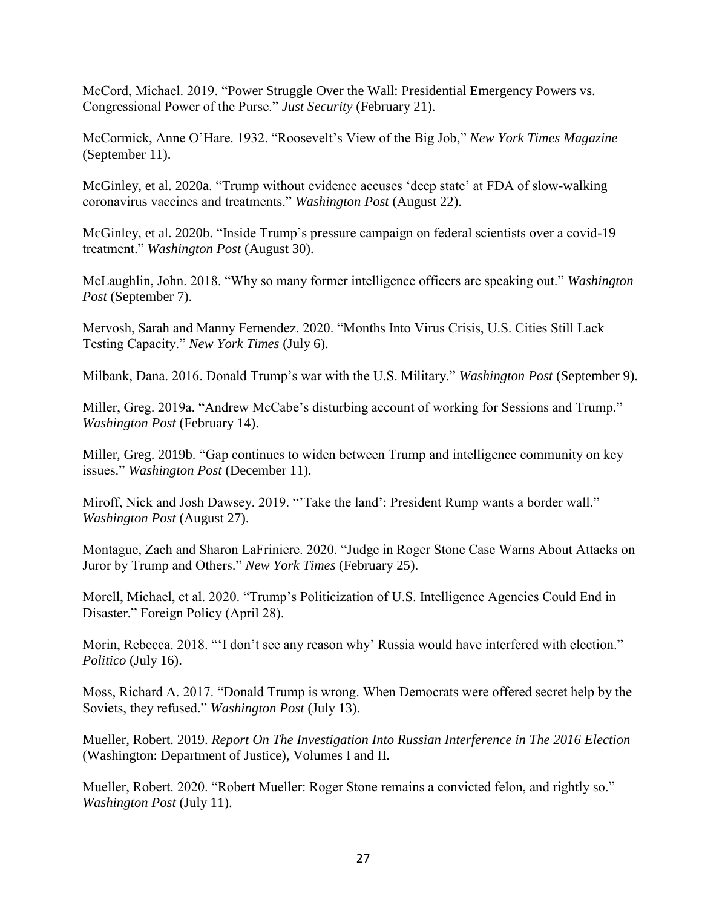McCord, Michael. 2019. "Power Struggle Over the Wall: Presidential Emergency Powers vs. Congressional Power of the Purse." *Just Security* (February 21).

McCormick, Anne O'Hare. 1932. "Roosevelt's View of the Big Job," *New York Times Magazine* (September 11).

McGinley, et al. 2020a. "Trump without evidence accuses 'deep state' at FDA of slow-walking coronavirus vaccines and treatments." *Washington Post* (August 22).

McGinley, et al. 2020b. "Inside Trump's pressure campaign on federal scientists over a covid-19 treatment." *Washington Post* (August 30).

McLaughlin, John. 2018. "Why so many former intelligence officers are speaking out." *Washington Post* (September 7).

Mervosh, Sarah and Manny Fernendez. 2020. "Months Into Virus Crisis, U.S. Cities Still Lack Testing Capacity." *New York Times* (July 6).

Milbank, Dana. 2016. Donald Trump's war with the U.S. Military." *Washington Post* (September 9).

Miller, Greg. 2019a. "Andrew McCabe's disturbing account of working for Sessions and Trump." *Washington Post* (February 14).

Miller, Greg. 2019b. "Gap continues to widen between Trump and intelligence community on key issues." *Washington Post* (December 11).

Miroff, Nick and Josh Dawsey. 2019. "'Take the land': President Rump wants a border wall." *Washington Post* (August 27).

Montague, Zach and Sharon LaFriniere. 2020. "Judge in Roger Stone Case Warns About Attacks on Juror by Trump and Others." *New York Times* (February 25).

Morell, Michael, et al. 2020. "Trump's Politicization of U.S. Intelligence Agencies Could End in Disaster." Foreign Policy (April 28).

Morin, Rebecca. 2018. "'I don't see any reason why' Russia would have interfered with election." *Politico* (July 16).

Moss, Richard A. 2017. "Donald Trump is wrong. When Democrats were offered secret help by the Soviets, they refused." *Washington Post* (July 13).

Mueller, Robert. 2019. *Report On The Investigation Into Russian Interference in The 2016 Election* (Washington: Department of Justice), Volumes I and II.

Mueller, Robert. 2020. "Robert Mueller: Roger Stone remains a convicted felon, and rightly so." *Washington Post* (July 11).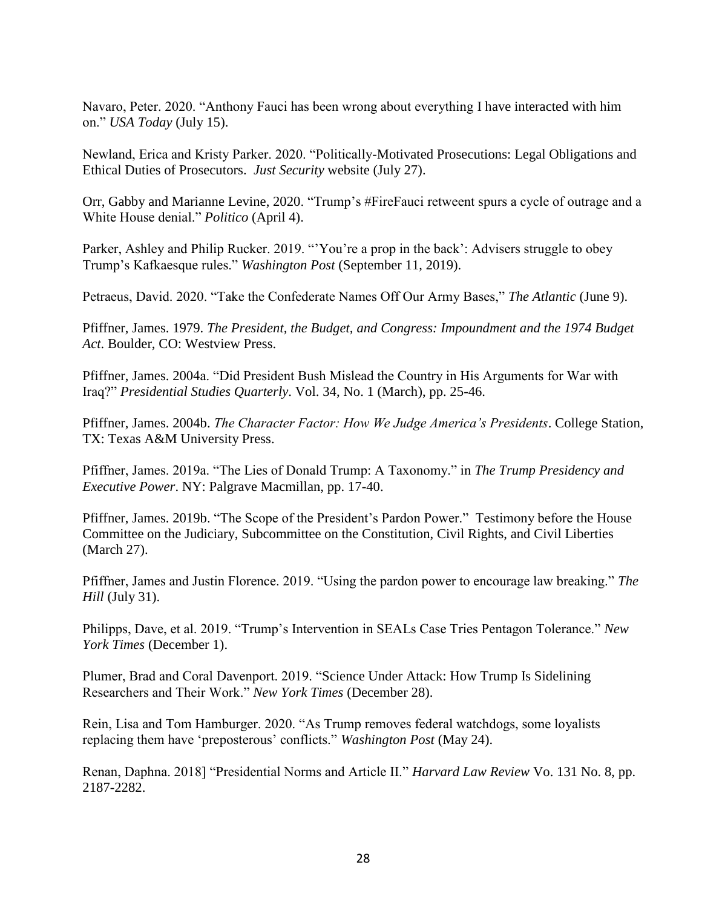Navaro, Peter. 2020. "Anthony Fauci has been wrong about everything I have interacted with him on." *USA Today* (July 15).

Newland, Erica and Kristy Parker. 2020. "Politically-Motivated Prosecutions: Legal Obligations and Ethical Duties of Prosecutors. *Just Security* website (July 27).

Orr, Gabby and Marianne Levine, 2020. "Trump's #FireFauci retweent spurs a cycle of outrage and a White House denial." *Politico* (April 4).

Parker, Ashley and Philip Rucker. 2019. "'You're a prop in the back': Advisers struggle to obey Trump's Kafkaesque rules." *Washington Post* (September 11, 2019).

Petraeus, David. 2020. "Take the Confederate Names Off Our Army Bases," *The Atlantic* (June 9).

Pfiffner, James. 1979. *The President, the Budget, and Congress: Impoundment and the 1974 Budget Act*. Boulder, CO: Westview Press.

Pfiffner, James. 2004a. "Did President Bush Mislead the Country in His Arguments for War with Iraq?" *Presidential Studies Quarterly*. Vol. 34, No. 1 (March), pp. 25-46.

Pfiffner, James. 2004b. *The Character Factor: How We Judge America's Presidents*. College Station, TX: Texas A&M University Press.

Pfiffner, James. 2019a. "The Lies of Donald Trump: A Taxonomy." in *The Trump Presidency and Executive Power*. NY: Palgrave Macmillan, pp. 17-40.

Pfiffner, James. 2019b. "The Scope of the President's Pardon Power." Testimony before the House Committee on the Judiciary, Subcommittee on the Constitution, Civil Rights, and Civil Liberties (March 27).

Pfiffner, James and Justin Florence. 2019. "Using the pardon power to encourage law breaking." *The Hill* (July 31).

Philipps, Dave, et al. 2019. "Trump's Intervention in SEALs Case Tries Pentagon Tolerance." *New York Times* (December 1).

Plumer, Brad and Coral Davenport. 2019. "Science Under Attack: How Trump Is Sidelining Researchers and Their Work." *New York Times* (December 28).

Rein, Lisa and Tom Hamburger. 2020. "As Trump removes federal watchdogs, some loyalists replacing them have 'preposterous' conflicts." *Washington Post* (May 24).

Renan, Daphna. 2018] "Presidential Norms and Article II." *Harvard Law Review* Vo. 131 No. 8, pp. 2187-2282.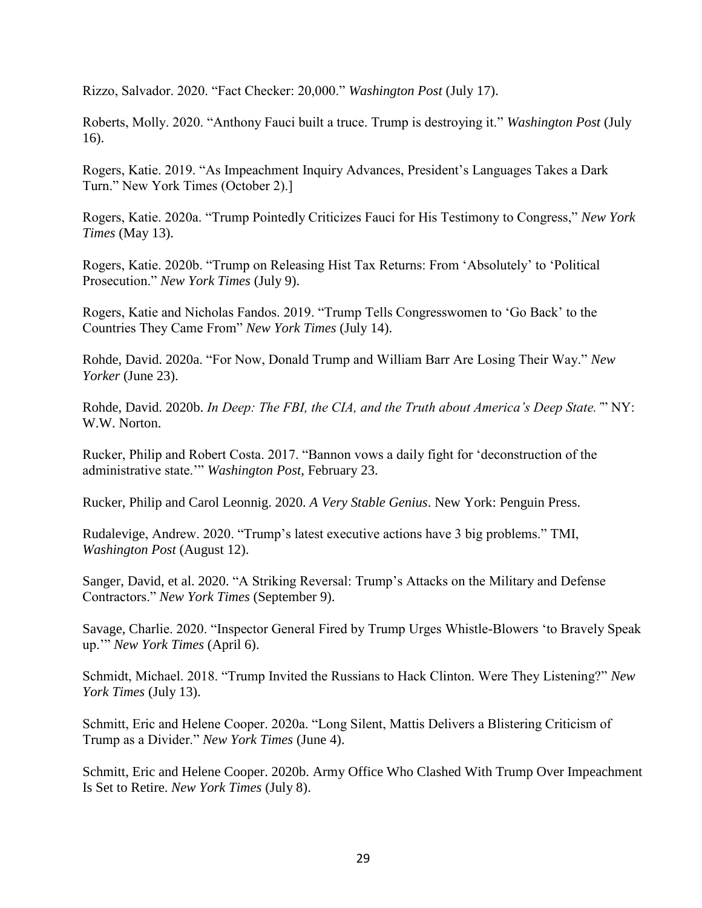Rizzo, Salvador. 2020. "Fact Checker: 20,000." *Washington Post* (July 17).

Roberts, Molly. 2020. "Anthony Fauci built a truce. Trump is destroying it." *Washington Post* (July 16).

Rogers, Katie. 2019. "As Impeachment Inquiry Advances, President's Languages Takes a Dark Turn." New York Times (October 2).]

Rogers, Katie. 2020a. "Trump Pointedly Criticizes Fauci for His Testimony to Congress," *New York Times* (May 13).

Rogers, Katie. 2020b. "Trump on Releasing Hist Tax Returns: From 'Absolutely' to 'Political Prosecution." *New York Times* (July 9).

Rogers, Katie and Nicholas Fandos. 2019. "Trump Tells Congresswomen to 'Go Back' to the Countries They Came From" *New York Times* (July 14).

Rohde, David. 2020a. "For Now, Donald Trump and William Barr Are Losing Their Way." *New Yorker* (June 23).

Rohde, David. 2020b. *In Deep: The FBI, the CIA, and the Truth about America's Deep State.'*" NY: W.W. Norton.

Rucker, Philip and Robert Costa. 2017. "Bannon vows a daily fight for 'deconstruction of the administrative state.'" *Washington Post,* February 23.

Rucker, Philip and Carol Leonnig. 2020. *A Very Stable Genius*. New York: Penguin Press.

Rudalevige, Andrew. 2020. "Trump's latest executive actions have 3 big problems." TMI, *Washington Post* (August 12).

Sanger, David, et al. 2020. "A Striking Reversal: Trump's Attacks on the Military and Defense Contractors." *New York Times* (September 9).

Savage, Charlie. 2020. "Inspector General Fired by Trump Urges Whistle-Blowers 'to Bravely Speak up.'" *New York Times* (April 6).

Schmidt, Michael. 2018. "Trump Invited the Russians to Hack Clinton. Were They Listening?" *New York Times* (July 13).

Schmitt, Eric and Helene Cooper. 2020a. "Long Silent, Mattis Delivers a Blistering Criticism of Trump as a Divider." *New York Times* (June 4).

Schmitt, Eric and Helene Cooper. 2020b. Army Office Who Clashed With Trump Over Impeachment Is Set to Retire. *New York Times* (July 8).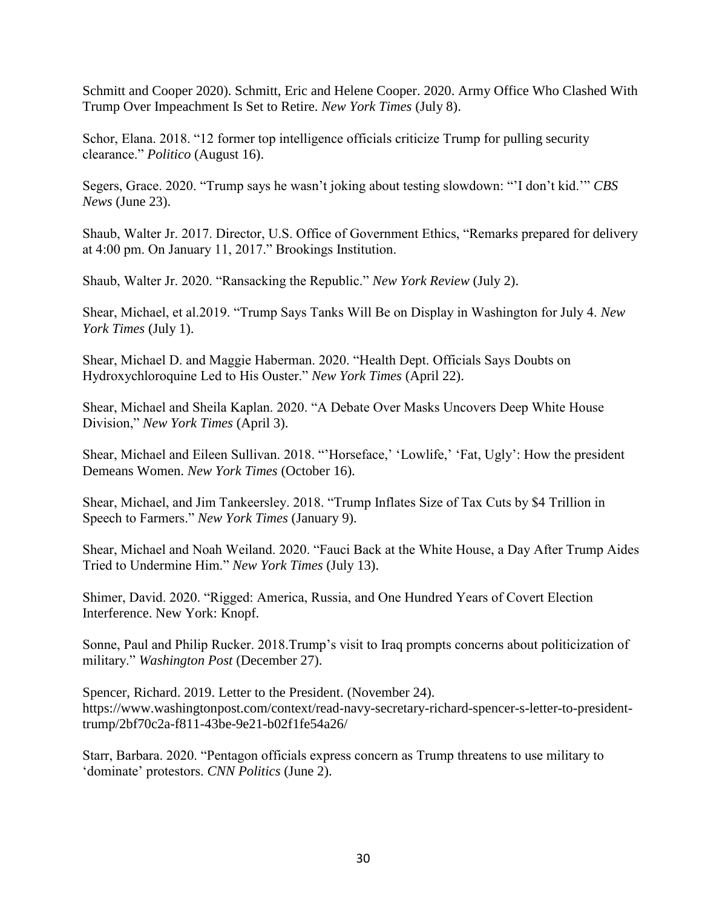Schmitt and Cooper 2020). Schmitt, Eric and Helene Cooper. 2020. Army Office Who Clashed With Trump Over Impeachment Is Set to Retire. *New York Times* (July 8).

Schor, Elana. 2018. "12 former top intelligence officials criticize Trump for pulling security clearance." *Politico* (August 16).

Segers, Grace. 2020. "Trump says he wasn't joking about testing slowdown: "'I don't kid.'" *CBS News* (June 23).

Shaub, Walter Jr. 2017. Director, U.S. Office of Government Ethics, "Remarks prepared for delivery at 4:00 pm. On January 11, 2017." Brookings Institution.

Shaub, Walter Jr. 2020. "Ransacking the Republic." *New York Review* (July 2).

Shear, Michael, et al.2019. "Trump Says Tanks Will Be on Display in Washington for July 4. *New York Times* (July 1).

Shear, Michael D. and Maggie Haberman. 2020. "Health Dept. Officials Says Doubts on Hydroxychloroquine Led to His Ouster." *New York Times* (April 22).

Shear, Michael and Sheila Kaplan. 2020. "A Debate Over Masks Uncovers Deep White House Division," *New York Times* (April 3).

Shear, Michael and Eileen Sullivan. 2018. "'Horseface,' 'Lowlife,' 'Fat, Ugly': How the president Demeans Women. *New York Times* (October 16).

Shear, Michael, and Jim Tankeersley. 2018. "Trump Inflates Size of Tax Cuts by \$4 Trillion in Speech to Farmers." *New York Times* (January 9).

Shear, Michael and Noah Weiland. 2020. "Fauci Back at the White House, a Day After Trump Aides Tried to Undermine Him." *New York Times* (July 13).

Shimer, David. 2020. "Rigged: America, Russia, and One Hundred Years of Covert Election Interference. New York: Knopf.

Sonne, Paul and Philip Rucker. 2018.Trump's visit to Iraq prompts concerns about politicization of military." *Washington Post* (December 27).

Spencer, Richard. 2019. Letter to the President. (November 24). https://www.washingtonpost.com/context/read-navy-secretary-richard-spencer-s-letter-to-presidenttrump/2bf70c2a-f811-43be-9e21-b02f1fe54a26/

Starr, Barbara. 2020. "Pentagon officials express concern as Trump threatens to use military to 'dominate' protestors. *CNN Politics* (June 2).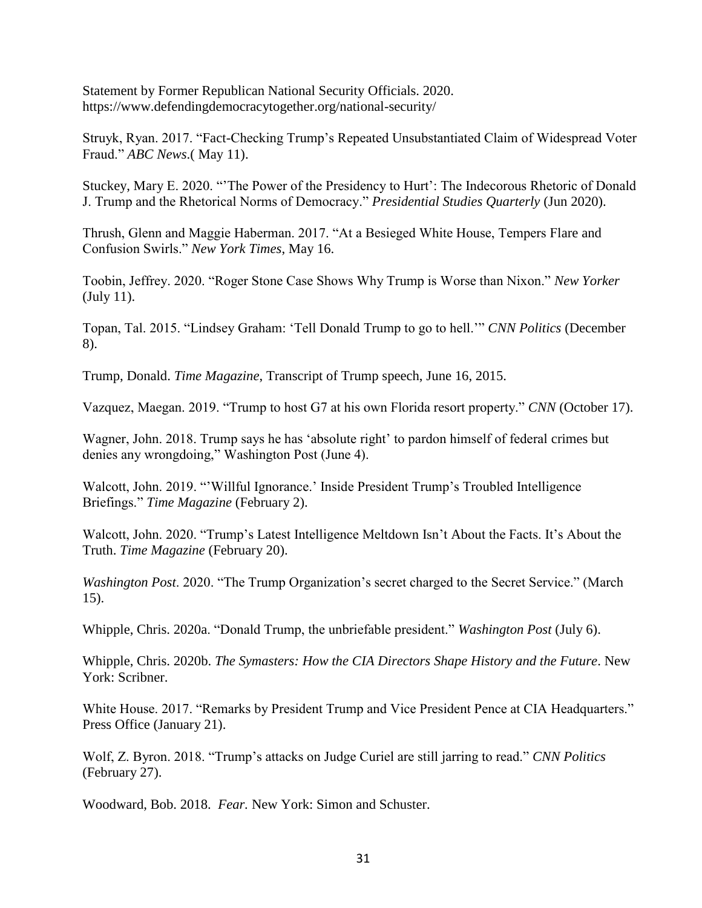Statement by Former Republican National Security Officials. 2020. https://www.defendingdemocracytogether.org/national-security/

Struyk, Ryan. 2017. "Fact-Checking Trump's Repeated Unsubstantiated Claim of Widespread Voter Fraud." *ABC News*.( May 11).

Stuckey, Mary E. 2020. "'The Power of the Presidency to Hurt': The Indecorous Rhetoric of Donald J. Trump and the Rhetorical Norms of Democracy." *Presidential Studies Quarterly* (Jun 2020).

Thrush, Glenn and Maggie Haberman. 2017. "At a Besieged White House, Tempers Flare and Confusion Swirls." *New York Times*, May 16.

Toobin, Jeffrey. 2020. "Roger Stone Case Shows Why Trump is Worse than Nixon." *New Yorker* (July 11).

Topan, Tal. 2015. "Lindsey Graham: 'Tell Donald Trump to go to hell.'" *CNN Politics* (December 8).

Trump, Donald. *Time Magazine*, Transcript of Trump speech, June 16, 2015.

Vazquez, Maegan. 2019. "Trump to host G7 at his own Florida resort property." *CNN* (October 17).

Wagner, John. 2018. Trump says he has 'absolute right' to pardon himself of federal crimes but denies any wrongdoing," Washington Post (June 4).

Walcott, John. 2019. "'Willful Ignorance.' Inside President Trump's Troubled Intelligence Briefings." *Time Magazine* (February 2).

Walcott, John. 2020. "Trump's Latest Intelligence Meltdown Isn't About the Facts. It's About the Truth. *Time Magazine* (February 20).

*Washington Post*. 2020. "The Trump Organization's secret charged to the Secret Service." (March 15).

Whipple, Chris. 2020a. "Donald Trump, the unbriefable president." *Washington Post* (July 6).

Whipple, Chris. 2020b. *The Symasters: How the CIA Directors Shape History and the Future*. New York: Scribner.

White House. 2017. "Remarks by President Trump and Vice President Pence at CIA Headquarters." Press Office (January 21).

Wolf, Z. Byron. 2018. "Trump's attacks on Judge Curiel are still jarring to read." *CNN Politics* (February 27).

Woodward, Bob. 2018. *Fear.* New York: Simon and Schuster.